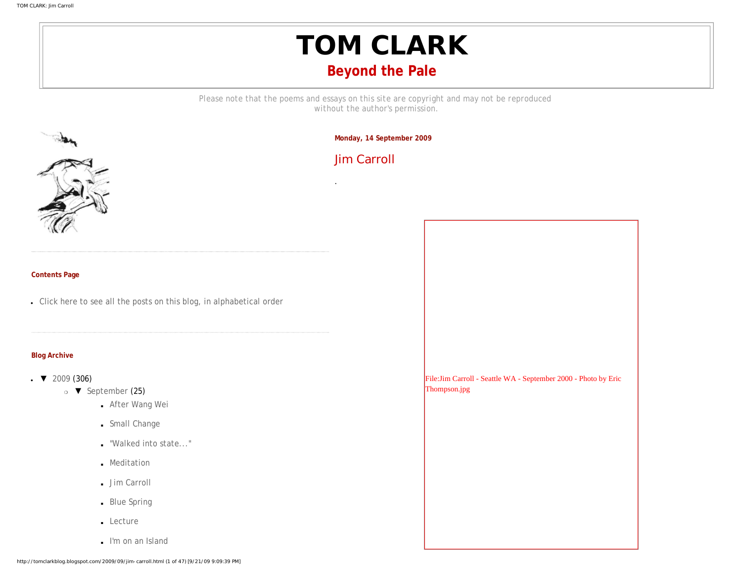# **[TOM CLARK](http://tomclarkblog.blogspot.com/)**

# **Beyond the Pale**

*Please note that the poems and essays on this site are copyright and may not be reproduced without the author's permission.*

<span id="page-0-0"></span>

**Monday, 14 September 2009**

## [Jim Carroll](#page-0-0)

.

#### **Contents Page**

• [Click here to see all the posts on this blog, in alphabetical order](http://tomclarkblog.blogspot.com/2009/01/contents.html)

#### **Blog Archive**

- $\blacktriangledown$  [2009](http://tomclarkblog.blogspot.com/search?updated-min=2009-01-01T00%3A00%3A00-08%3A00&updated-max=2010-01-01T00%3A00%3A00-08%3A00&max-results=50) (306)
	- ❍ [▼](javascript:void(0)) [September](http://tomclarkblog.blogspot.com/2009_09_01_archive.html) (25)
		- [After Wang Wei](http://tomclarkblog.blogspot.com/2009/09/after-wang-wei.html)
		- [Small Change](http://tomclarkblog.blogspot.com/2009/09/small-change.html)
		- ["Walked into state..."](http://tomclarkblog.blogspot.com/2009/09/walked-into-state.html)
		- [Meditation](http://tomclarkblog.blogspot.com/2009/09/meditation.html)
		- [Jim Carroll](#page-0-0)
		- [Blue Spring](http://tomclarkblog.blogspot.com/2009/09/blue-spring.html)
		- [Lecture](http://tomclarkblog.blogspot.com/2009/09/lecture.html)
		- [I'm on an Island](http://tomclarkblog.blogspot.com/2009/09/im-on-island.html)

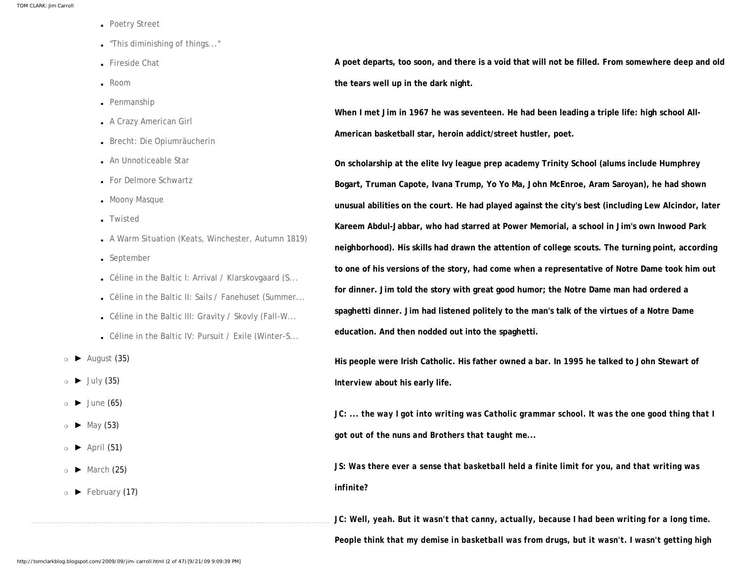- [Poetry Street](http://tomclarkblog.blogspot.com/2009/09/poetry-street.html)
- ["This diminishing of things..."](http://tomclarkblog.blogspot.com/2009/09/this-diminishing-of-things.html)
- [Fireside Chat](http://tomclarkblog.blogspot.com/2009/09/fireside-chat.html)
- [Room](http://tomclarkblog.blogspot.com/2009/09/room.html)
- [Penmanship](http://tomclarkblog.blogspot.com/2009/09/penmanship.html)
- [A Crazy American Girl](http://tomclarkblog.blogspot.com/2009/09/crazy-american-girl.html)
- [Brecht: Die Opiumräucherin](http://tomclarkblog.blogspot.com/2009/09/brecht-die-opiumraucherin.html)
- [An Unnoticeable Star](http://tomclarkblog.blogspot.com/2009/09/unnoticeable-star.html)
- [For Delmore Schwartz](http://tomclarkblog.blogspot.com/2009/09/for-delmore-schwartz.html)
- [Moony Masque](http://tomclarkblog.blogspot.com/2009/09/moony-masque.html)
- [Twisted](http://tomclarkblog.blogspot.com/2009/09/twisted.html)
- [A Warm Situation \(Keats, Winchester, Autumn 1819\)](http://tomclarkblog.blogspot.com/2009/09/warm-situation-keats-winchester-autumn.html)
- [September](http://tomclarkblog.blogspot.com/2009/09/september.html)
- [Céline in the Baltic I: Arrival / Klarskovgaard \(S...](http://tomclarkblog.blogspot.com/2009/09/celine-in-baltic-i-arrival.html)
- [Céline in the Baltic II: Sails / Fanehuset \(Summer...](http://tomclarkblog.blogspot.com/2009/09/celine-in-baltic-ii-sails-fanehuset.html)
- [Céline in the Baltic III: Gravity / Skovly \(Fall-W...](http://tomclarkblog.blogspot.com/2009/09/celine-in-baltic-iii-gravity-skovly.html)
- [Céline in the Baltic IV: Pursuit / Exile \(Winter-S...](http://tomclarkblog.blogspot.com/2009/09/celine-in-baltic-iv-pursuit-exile.html)
- $\circ$   $\blacktriangleright$  [August](http://tomclarkblog.blogspot.com/2009_08_01_archive.html) (35)
- $\circ$   $\blacktriangleright$  [July](http://tomclarkblog.blogspot.com/2009_07_01_archive.html) (35)
- $\circ$   $\blacktriangleright$  [June](http://tomclarkblog.blogspot.com/2009_06_01_archive.html) (65)
- $\circ$   $\triangleright$  [May](http://tomclarkblog.blogspot.com/2009_05_01_archive.html) (53)
- $\circ \triangleright$  [April](http://tomclarkblog.blogspot.com/2009_04_01_archive.html) (51)
- $\circ$   $\blacktriangleright$  [March](http://tomclarkblog.blogspot.com/2009_03_01_archive.html) (25)
- ❍ [►](javascript:void(0)) [February](http://tomclarkblog.blogspot.com/2009_02_01_archive.html) (17)

**A poet departs, too soon, and there is a void that will not be filled. From somewhere deep and old the tears well up in the dark night.**

**When I met Jim in 1967 he was seventeen. He had been leading a triple life: high school All-American basketball star, heroin addict/street hustler, poet.**

**On scholarship at the elite Ivy league prep academy Trinity School (alums include Humphrey Bogart, Truman Capote, Ivana Trump, Yo Yo Ma, John McEnroe, Aram Saroyan), he had shown unusual abilities on the court. He had played against the city's best (including Lew Alcindor, later Kareem Abdul-Jabbar, who had starred at Power Memorial, a school in Jim's own Inwood Park neighborhood). His skills had drawn the attention of college scouts. The turning point, according to one of his versions of the story, had come when a representative of Notre Dame took him out for dinner. Jim told the story with great good humor; the Notre Dame man had ordered a spaghetti dinner. Jim had listened politely to the man's talk of the virtues of a Notre Dame education. And then nodded out into the spaghetti.**

**His people were Irish Catholic. His father owned a bar. In 1995 he talked to John Stewart of**  *Interview* **about his early life.**

*JC: ... the way I got into writing was Catholic grammar school. It was the one good thing that I got out of the nuns and Brothers that taught me...* 

*JS: Was there ever a sense that basketball held a finite limit for you, and that writing was infinite?* 

*JC: Well, yeah. But it wasn't that canny, actually, because I had been writing for a long time. People think that my demise in basketball was from drugs, but it wasn't. I wasn't getting high* 

http://tomclarkblog.blogspot.com/2009/09/jim-carroll.html (2 of 47) [9/21/09 9:09:39 PM]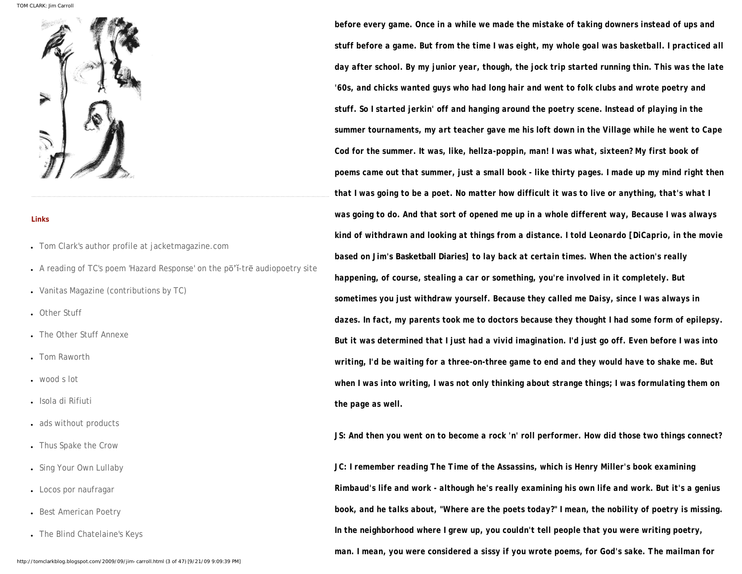TOM CLARK: Jim Carroll



#### **Links**

- [Tom Clark's author profile at jacketmagazine.com](http://jacketmagazine.com/bio/clark-t.shtml)
- [A reading of TC's poem 'Hazard Response' on the p](http://audiopoetry.wordpress.com/2006/04/26/hazard-response/)ō'i-tre audiopoetry site
- [Vanitas Magazine \(contributions by TC\)](http://vanitasmagazine.blogspot.com/)
- [Other Stuff](http://pseudstuff.blogspot.com/)
- [The Other Stuff Annexe](http://furtherotherstuff.blogspot.com/)
- [Tom Raworth](http://tomraworth.com/)
- [wood s lot](http://web.ncf.ca/ek867/wood_s_lot.html)
- [Isola di Rifiuti](http://isola-di-rifiuti.blogspot.com/)
- [ads without products](http://adswithoutproducts.com/)
- [Thus Spake the Crow](http://dearteachercrow.blogspot.com/)
- [Sing Your Own Lullaby](http://singyourownlullaby.blogspot.com/)
- [Locos por naufragar](http://locospornaufragar.blogspot.com/)
- [Best American Poetry](http://thebestamericanpoetry.typepad.com/the_best_american_poetry/)
- [The Blind Chatelaine's Keys](http://angelicpoker.blogspot.com/)

*before every game. Once in a while we made the mistake of taking downers instead of ups and stuff before a game. But from the time I was eight, my whole goal was basketball. I practiced all day after school. By my junior year, though, the jock trip started running thin. This was the late '60s, and chicks wanted guys who had long hair and went to folk clubs and wrote poetry and stuff. So I started jerkin' off and hanging around the poetry scene. Instead of playing in the summer tournaments, my art teacher gave me his loft down in the Village while he went to Cape Cod for the summer. It was, like, hellza-poppin, man! I was what, sixteen? My first book of poems came out that summer, just a small book - like thirty pages. I made up my mind right then that I was going to be a poet. No matter how difficult it was to live or anything, that's what I was going to do. And that sort of opened me up in a whole different way, Because I was always kind of withdrawn and looking at things from a distance. I told Leonardo [DiCaprio, in the movie based on Jim's* **Basketball Diaries***] to lay back at certain times. When the action's really happening, of course, stealing a car or something, you're involved in it completely. But sometimes you just withdraw yourself. Because they called me Daisy, since I was always in dazes. In fact, my parents took me to doctors because they thought I had some form of epilepsy. But it was determined that I just had a vivid imagination. I'd just go off. Even before I was into writing, I'd be waiting for a three-on-three game to end and they would have to shake me. But when I was into writing, I was not only thinking about strange things; I was formulating them on the page as well.* 

*JS: And then you went on to become a rock 'n' roll performer. How did those two things connect?* 

*JC: I remember reading The Time of the Assassins, which is Henry Miller's book examining Rimbaud's life and work - although he's really examining his own life and work. But it's a genius book, and he talks about, "Where are the poets today?" I mean, the nobility of poetry is missing. In the neighborhood where I grew up, you couldn't tell people that you were writing poetry, man. I mean, you were considered a sissy if you wrote poems, for God's sake. The mailman for*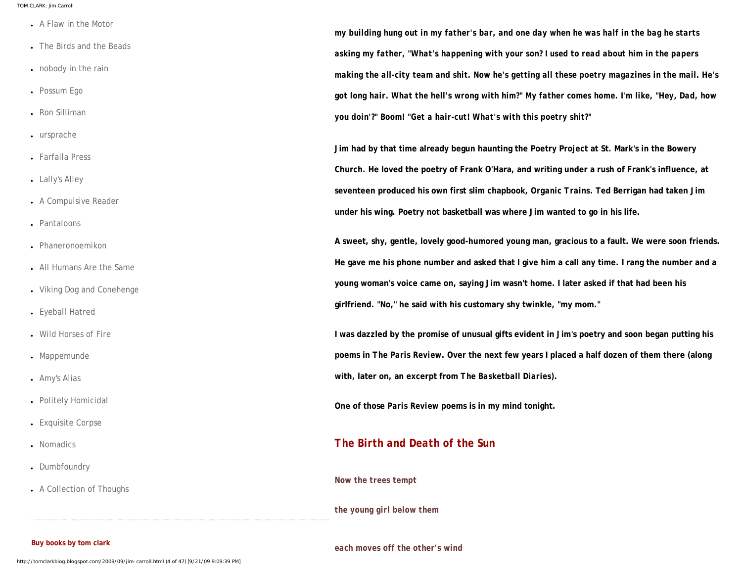- [A Flaw in the Motor](http://aflawinthemotor.blogspot.com/)
- [The Birds and the Beads](http://bowerbirdbeads.blogspot.com/)
- [nobody in the rain](http://nobodyintherain.blogspot.com/)
- [Possum Ego](http://www.possumego.blogspot.com/)
- [Ron Silliman](http://ronsilliman.blogspot.com/)
- [ursprache](http://ursprache.blogspot.com/)
- [Farfalla Press](http://farfallapress.blogspot.com/)
- [Lally's Alley](http://lallysalley.blogspot.com/index.html)
- [A Compulsive Reader](http://acompulsivereader.wordpress.com/)
- [Pantaloons](http://pantaloons.blogspot.com/)
- [Phaneronoemikon](http://phaneron.blogspot.com/)
- [All Humans Are the Same](http://www.allhumansarethesame.blogspot.com/)
- [Viking Dog and Conehenge](http://haikusnow.blogspot.com/)
- [Eyeball Hatred](http://www.claytonbanes.blogspot.com/)
- [Wild Horses of Fire](http://whof.blogspot.com/)
- [Mappemunde](http://mappemunde.typepad.com/mappemunde)
- [Amy's Alias](http://amyking.org/)
- [Politely Homicidal](http://misharialadwani.wordpress.com/)
- [Exquisite Corpse](http://www.corpse.org/)
- [Nomadics](http://pierrejoris.com/blog/)
- [Dumbfoundry](http://dumbfoundry.blogspot.com/)
- [A Collection of Thoughs](http://wordyness.blogspot.com/)

*my building hung out in my father's bar, and one day when he was half in the bag he starts asking my father, "What's happening with your son? I used to read about him in the papers making the all-city team and shit. Now he's getting all these poetry magazines in the mail. He's got long hair. What the hell's wrong with him?" My father comes home. I'm like, "Hey, Dad, how you doin'?" Boom! "Get a hair-cut! What's with this poetry shit?"* 

**Jim had by that time already begun haunting the Poetry Project at St. Mark's in the Bowery Church. He loved the poetry of Frank O'Hara, and writing under a rush of Frank's influence, at seventeen produced his own first slim chapbook,** *Organic Trains***. Ted Berrigan had taken Jim under his wing. Poetry not basketball was where Jim wanted to go in his life.** 

**A sweet, shy, gentle, lovely good-humored young man, gracious to a fault. We were soon friends. He gave me his phone number and asked that I give him a call any time. I rang the number and a young woman's voice came on, saying Jim wasn't home. I later asked if that had been his girlfriend. "No," he said with his customary shy twinkle, "my mom."**

**I was dazzled by the promise of unusual gifts evident in Jim's poetry and soon began putting his poems in** *The Paris Review***. Over the next few years I placed a half dozen of them there (along with, later on, an excerpt from** *The Basketball Diaries***).** 

**One of those** *Paris Review* **poems is in my mind tonight.**

#### *The Birth and Death of the Sun*

*Now the trees tempt*

*the young girl below them*

#### **Buy books by tom clark**

*each moves off the other's wind*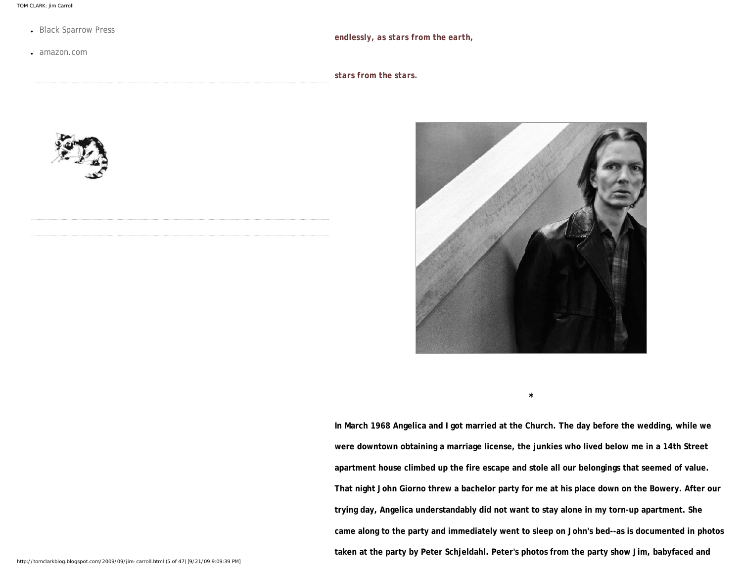- [Black Sparrow Press](http://www.blacksparrowbooks.com/author.asp?first=Tom&last=Clark)
- [amazon.com](http://www.amazon.com/Light-Shade-New-Selected-Poems/dp/1566891833/ref=sr_1_2?ie=UTF8&s=books&qid=1235407062&sr=1-2)

*endlessly, as stars from the earth,*

*stars from the stars.*





**In March 1968 Angelica and I got married at the Church. The day before the wedding, while we were downtown obtaining a marriage license, the junkies who lived below me in a 14th Street apartment house climbed up the fire escape and stole all our belongings that seemed of value. That night John Giorno threw a bachelor party for me at his place down on the Bowery. After our trying day, Angelica understandably did not want to stay alone in my torn-up apartment. She came along to the party and immediately went to sleep on John's bed--as is documented in photos taken at the party by Peter Schjeldahl. Peter's photos from the party show Jim, babyfaced and** 

**\***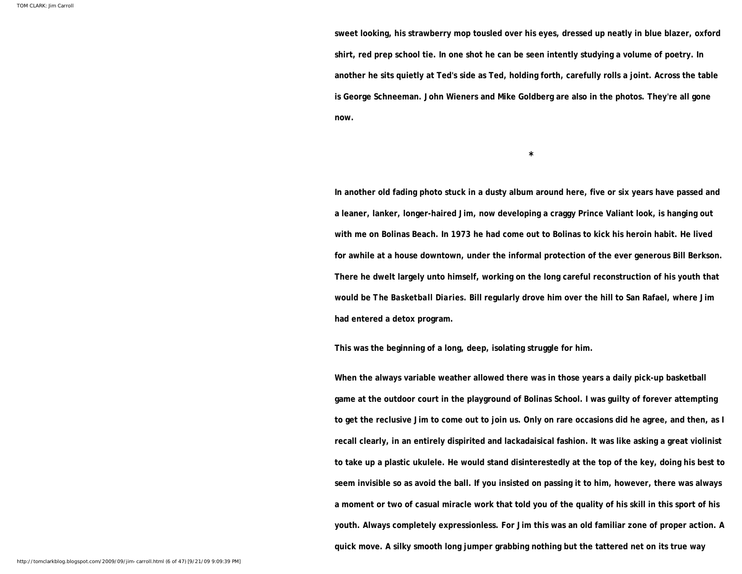**sweet looking, his strawberry mop tousled over his eyes, dressed up neatly in blue blazer, oxford shirt, red prep school tie. In one shot he can be seen intently studying a volume of poetry. In another he sits quietly at Ted's side as Ted, holding forth, carefully rolls a joint. Across the table is George Schneeman. John Wieners and Mike Goldberg are also in the photos. They're all gone now.**

**\***

**In another old fading photo stuck in a dusty album around here, five or six years have passed and a leaner, lanker, longer-haired Jim, now developing a craggy Prince Valiant look, is hanging out with me on Bolinas Beach. In 1973 he had come out to Bolinas to kick his heroin habit. He lived for awhile at a house downtown, under the informal protection of the ever generous Bill Berkson. There he dwelt largely unto himself, working on the long careful reconstruction of his youth that would be** *The Basketball Diaries***. Bill regularly drove him over the hill to San Rafael, where Jim had entered a detox program.**

**This was the beginning of a long, deep, isolating struggle for him.**

**When the always variable weather allowed there was in those years a daily pick-up basketball game at the outdoor court in the playground of Bolinas School. I was guilty of forever attempting to get the reclusive Jim to come out to join us. Only on rare occasions did he agree, and then, as I recall clearly, in an entirely dispirited and lackadaisical fashion. It was like asking a great violinist to take up a plastic ukulele. He would stand disinterestedly at the top of the key, doing his best to seem invisible so as avoid the ball. If you insisted on passing it to him, however, there was always a moment or two of casual miracle work that told you of the quality of his skill in this sport of his youth. Always completely expressionless. For Jim this was an old familiar zone of proper action. A quick move. A silky smooth long jumper grabbing nothing but the tattered net on its true way**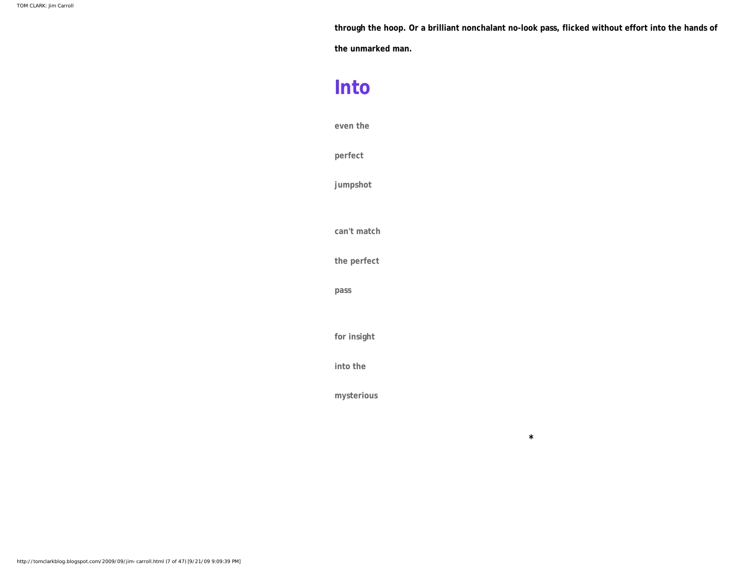**through the hoop. Or a brilliant nonchalant no-look pass, flicked without effort into the hands of** 

**\***

**the unmarked man.** 

# **Into**

**even the**

**perfect**

**jumpshot**

**can't match**

**the perfect**

**pass**

**for insight**

**into the**

**mysterious**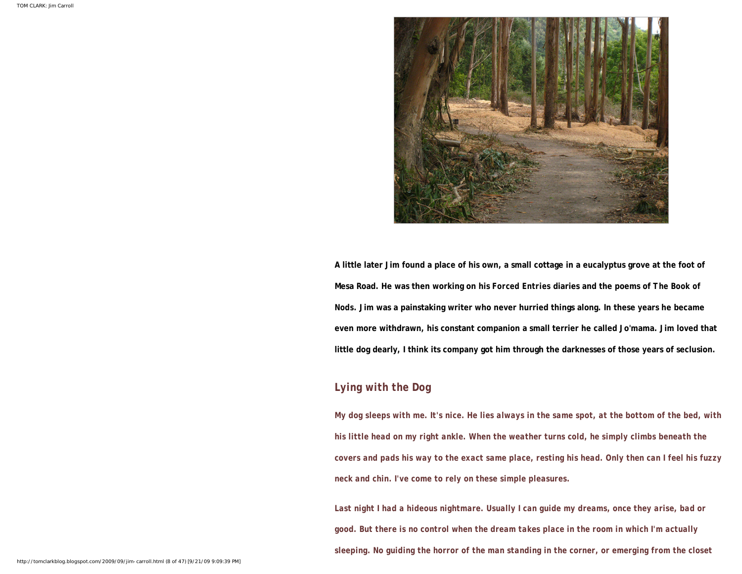

**A little later Jim found a place of his own, a small cottage in a eucalyptus grove at the foot of Mesa Road. He was then working on his** *Forced Entries* **diaries and the poems of** *The Book of Nods***. Jim was a painstaking writer who never hurried things along. In these years he became even more withdrawn, his constant companion a small terrier he called Jo'mama. Jim loved that little dog dearly, I think its company got him through the darknesses of those years of seclusion.**

#### *Lying with the Dog*

*My dog sleeps with me. It's nice. He lies always in the same spot, at the bottom of the bed, with his little head on my right ankle. When the weather turns cold, he simply climbs beneath the covers and pads his way to the exact same place, resting his head. Only then can I feel his fuzzy neck and chin. I've come to rely on these simple pleasures.*

*Last night I had a hideous nightmare. Usually I can guide my dreams, once they arise, bad or good. But there is no control when the dream takes place in the room in which I'm actually sleeping. No guiding the horror of the man standing in the corner, or emerging from the closet*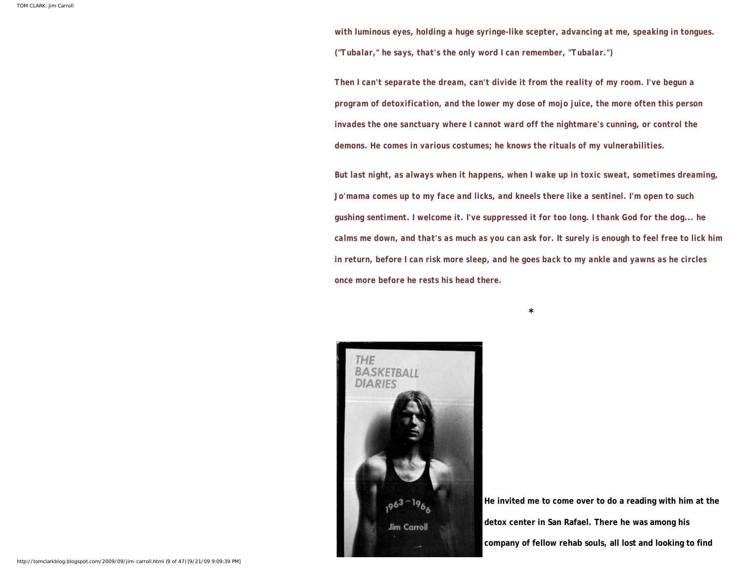*with luminous eyes, holding a huge syringe-like scepter, advancing at me, speaking in tongues. ("Tubalar," he says, that's the only word I can remember, "Tubalar.")*

*Then I can't separate the dream, can't divide it from the reality of my room. I've begun a program of detoxification, and the lower my dose of mojo juice, the more often this person invades the one sanctuary where I cannot ward off the nightmare's cunning, or control the demons. He comes in various costumes; he knows the rituals of my vulnerabilities.*

*But last night, as always when it happens, when I wake up in toxic sweat, sometimes dreaming, Jo'mama comes up to my face and licks, and kneels there like a sentinel. I'm open to such gushing sentiment. I welcome it. I've suppressed it for too long. I thank God for the dog... he calms me down, and that's as much as you can ask for. It surely is enough to feel free to lick him in return, before I can risk more sleep, and he goes back to my ankle and yawns as he circles once more before he rests his head there.*

**\***



**He invited me to come over to do a reading with him at the detox center in San Rafael. There he was among his company of fellow rehab souls, all lost and looking to find**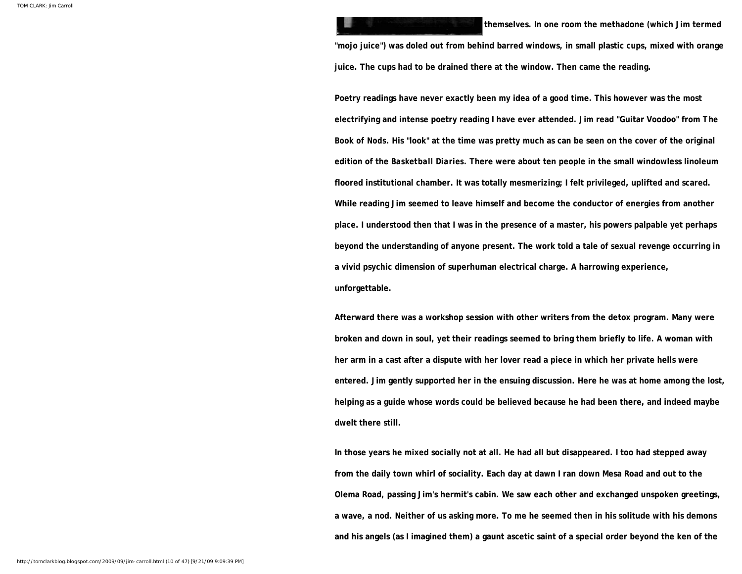**themselves. In one room the methadone (which Jim termed** 

**"mojo juice") was doled out from behind barred windows, in small plastic cups, mixed with orange juice. The cups had to be drained there at the window. Then came the reading.**

**Poetry readings have never exactly been my idea of a good time. This however was the most electrifying and intense poetry reading I have ever attended. Jim read "Guitar Voodoo" from** *The Book of Nods***. His "look" at the time was pretty much as can be seen on the cover of the original edition of the** *Basketball Diaries***. There were about ten people in the small windowless linoleum floored institutional chamber. It was totally mesmerizing; I felt privileged, uplifted and scared. While reading Jim seemed to leave himself and become the conductor of energies from another place. I understood then that I was in the presence of a master, his powers palpable yet perhaps beyond the understanding of anyone present. The work told a tale of sexual revenge occurring in a vivid psychic dimension of superhuman electrical charge. A harrowing experience, unforgettable.** 

**Afterward there was a workshop session with other writers from the detox program. Many were broken and down in soul, yet their readings seemed to bring them briefly to life. A woman with her arm in a cast after a dispute with her lover read a piece in which her private hells were entered. Jim gently supported her in the ensuing discussion. Here he was at home among the lost, helping as a guide whose words could be believed because he had been there, and indeed maybe dwelt there still.**

**In those years he mixed socially not at all. He had all but disappeared. I too had stepped away from the daily town whirl of sociality. Each day at dawn I ran down Mesa Road and out to the Olema Road, passing Jim's hermit's cabin. We saw each other and exchanged unspoken greetings, a wave, a nod. Neither of us asking more. To me he seemed then in his solitude with his demons and his angels (as I imagined them) a gaunt ascetic saint of a special order beyond the ken of the**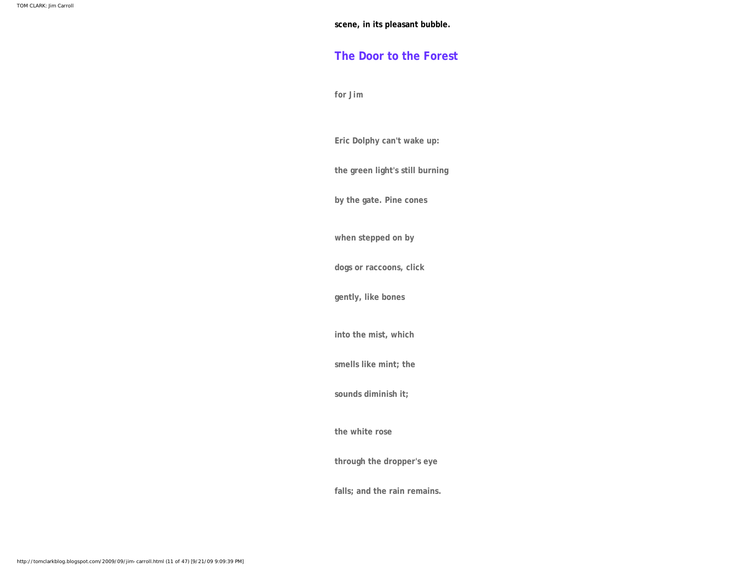**scene, in its pleasant bubble.** 

### **The Door to the Forest**

*for Jim* 

**Eric Dolphy can't wake up:**

**the green light's still burning**

**by the gate. Pine cones**

**when stepped on by**

**dogs or raccoons, click**

**gently, like bones**

**into the mist, which**

**smells like mint; the**

**sounds diminish it;**

**the white rose**

**through the dropper's eye**

**falls; and the rain remains.**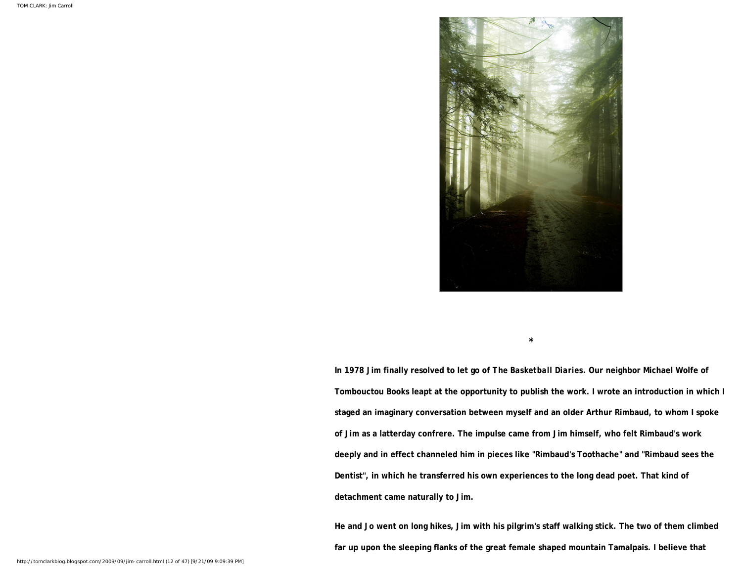

**In 1978 Jim finally resolved to let go of** *The Basketball Diaries***. Our neighbor Michael Wolfe of Tombouctou Books leapt at the opportunity to publish the work. I wrote an introduction in which I staged an imaginary conversation between myself and an older Arthur Rimbaud, to whom I spoke of Jim as a latterday confrere. The impulse came from Jim himself, who felt Rimbaud's work deeply and in effect channeled him in pieces like "Rimbaud's Toothache" and "Rimbaud sees the Dentist", in which he transferred his own experiences to the long dead poet. That kind of detachment came naturally to Jim.**

**\***

**He and Jo went on long hikes, Jim with his pilgrim's staff walking stick. The two of them climbed far up upon the sleeping flanks of the great female shaped mountain Tamalpais. I believe that**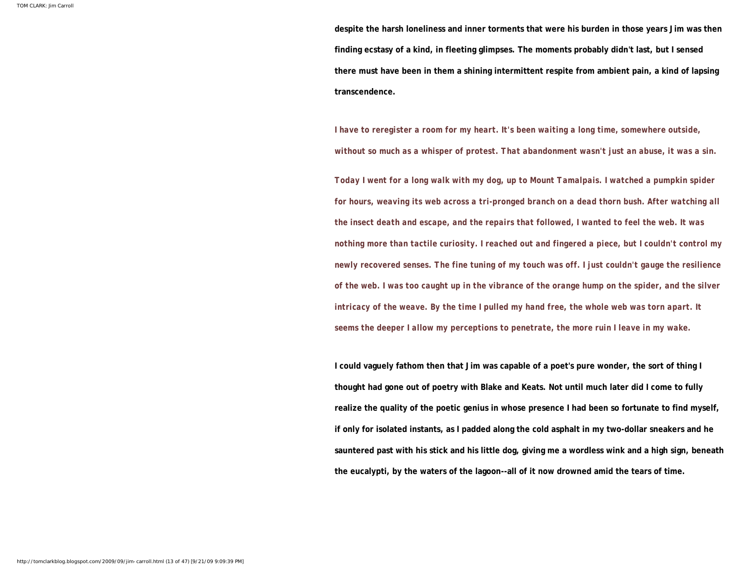**despite the harsh loneliness and inner torments that were his burden in those years Jim was then finding ecstasy of a kind, in fleeting glimpses. The moments probably didn't last, but I sensed there must have been in them a shining intermittent respite from ambient pain, a kind of lapsing transcendence.**

*I have to reregister a room for my heart. It's been waiting a long time, somewhere outside, without so much as a whisper of protest. That abandonment wasn't just an abuse, it was a sin.*

*Today I went for a long walk with my dog, up to Mount Tamalpais. I watched a pumpkin spider*  for hours, weaving its web across a tri-pronged branch on a dead thorn bush. After watching all *the insect death and escape, and the repairs that followed, I wanted to feel the web. It was nothing more than tactile curiosity. I reached out and fingered a piece, but I couldn't control my newly recovered senses. The fine tuning of my touch was off. I just couldn't gauge the resilience of the web. I was too caught up in the vibrance of the orange hump on the spider, and the silver intricacy of the weave. By the time I pulled my hand free, the whole web was torn apart. It seems the deeper I allow my perceptions to penetrate, the more ruin I leave in my wake.*

**I could vaguely fathom then that Jim was capable of a poet's pure wonder, the sort of thing I thought had gone out of poetry with Blake and Keats. Not until much later did I come to fully realize the quality of the poetic genius in whose presence I had been so fortunate to find myself, if only for isolated instants, as I padded along the cold asphalt in my two-dollar sneakers and he sauntered past with his stick and his little dog, giving me a wordless wink and a high sign, beneath the eucalypti, by the waters of the lagoon--all of it now drowned amid the tears of time.**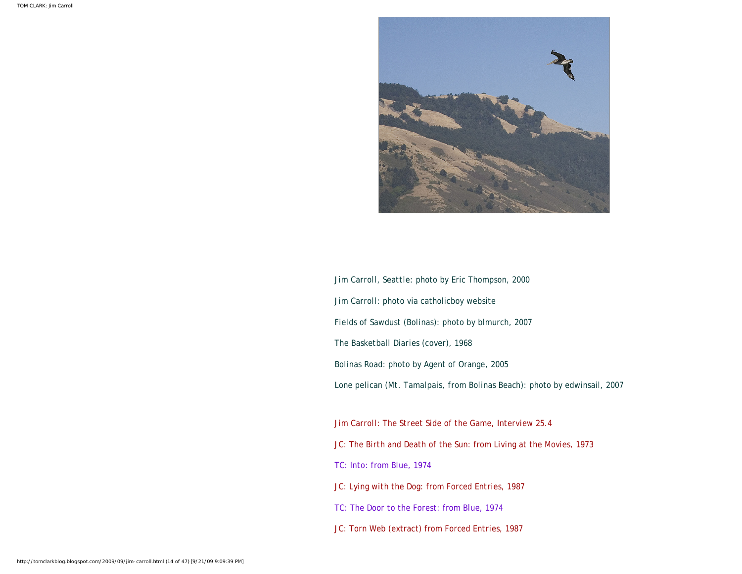

*Jim Carroll, Seattle:* photo by Eric Thompson, 2000 *Jim Carroll:* photo via catholicboy website *Fields of Sawdust (Bolinas)*: photo by blmurch, 2007 *The Basketball Diaries* (cover), 1968 *Bolinas Road*: photo by Agent of Orange, 2005 *Lone pelican (Mt. Tamalpais, from Bolinas Beach)*: photo by edwinsail, 2007 *Jim Carroll: The Street Side of the Game*, *Interview* 25.4

JC: *The Birth and Death of the Sun*: from *Living at the Movies*, 1973

TC: *Into*: from *Blue*, 1974

JC: *Lying with the Dog*: from *Forced Entries*, 1987

TC: *The Door to the Forest*: from *Blue*, 1974

JC: *Torn Web* (extract) from *Forced Entries*, 1987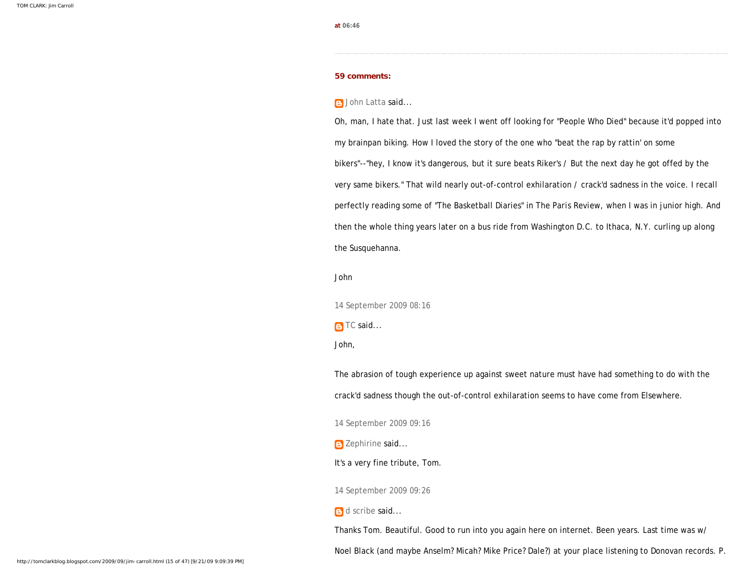**at [06:46](#page-0-0)**

#### **59 comments:**

#### **B** [John Latta](http://www.blogger.com/profile/01215219604418390000) said...

Oh, man, I hate that. Just last week I went off looking for "People Who Died" because it'd popped into my brainpan biking. How I loved the story of the one who "beat the rap by rattin' on some bikers"--"hey, I know it's dangerous, but it sure beats Riker's / But the next day he got offed by the very same bikers." That wild nearly out-of-control exhilaration / crack'd sadness in the voice. I recall perfectly reading some of "The Basketball Diaries" in *The Paris Review,* when I was in junior high. And then the whole thing years later on a bus ride from Washington D.C. to Ithaca, N.Y. curling up along the Susquehanna.

#### John

[14 September 2009 08:16](http://tomclarkblog.blogspot.com/2009/09/jim-carroll.html?showComment=1252941375254#c1624284465196355346)

**B** [TC](http://www.blogger.com/profile/05915822857461178942) said...

John,

The abrasion of tough experience up against sweet nature must have had something to do with the crack'd sadness though the out-of-control exhilaration seems to have come from Elsewhere.

[14 September 2009 09:16](http://tomclarkblog.blogspot.com/2009/09/jim-carroll.html?showComment=1252944972214#c3386542483659290004)

**B** [Zephirine](http://www.blogger.com/profile/02809525772159756122) said...

It's a very fine tribute, Tom.

[14 September 2009 09:26](http://tomclarkblog.blogspot.com/2009/09/jim-carroll.html?showComment=1252945613524#c3125628361287433094)

**e** [d scribe](http://www.blogger.com/profile/08242682202760522439) said...

Thanks Tom. Beautiful. Good to run into you again here on internet. Been years. Last time was w/

Noel Black (and maybe Anselm? Micah? Mike Price? Dale?) at your place listening to Donovan records. P.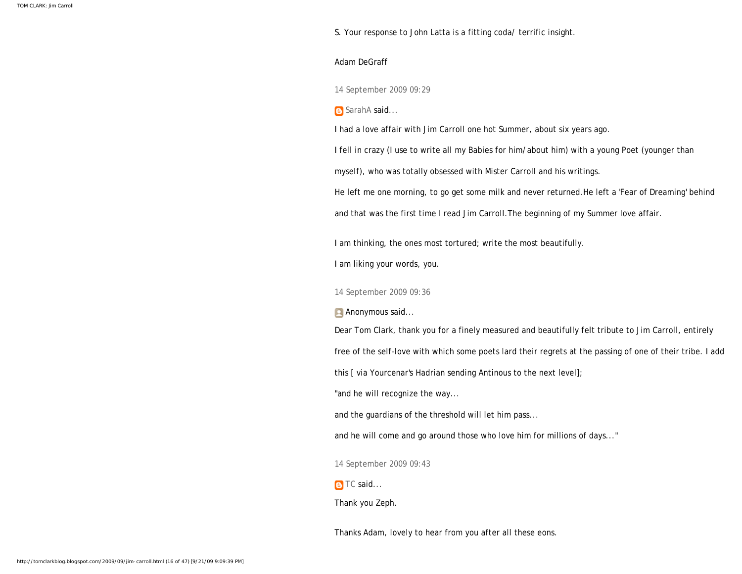S. Your response to John Latta is a fitting coda/ terrific insight.

#### Adam DeGraff

[14 September 2009 09:29](http://tomclarkblog.blogspot.com/2009/09/jim-carroll.html?showComment=1252945799092#c4023694940062069007)

**B** [SarahA](http://www.blogger.com/profile/11808099337912926446) said...

I had a love affair with Jim Carroll one hot Summer, about six years ago.

I fell in crazy (I use to write all my Babies for him/about him) with a young Poet (younger than

myself), who was totally obsessed with Mister Carroll and his writings.

He left me one morning, to go get some milk and never returned.He left a 'Fear of Dreaming' behind

and that was the first time I read Jim Carroll.The beginning of my Summer love affair.

I am thinking, the ones most tortured; write the most beautifully.

I am liking your words, you.

[14 September 2009 09:36](http://tomclarkblog.blogspot.com/2009/09/jim-carroll.html?showComment=1252946163020#c5387025031363766405)

**Anonymous said...** 

Dear Tom Clark, thank you for a finely measured and beautifully felt tribute to Jim Carroll, entirely

free of the self-love with which some poets lard their regrets at the passing of one of their tribe. I add

this [ via Yourcenar's Hadrian sending Antinous to the next level];

"and he will recognize the way...

and the guardians of the threshold will let him pass...

and he will come and go around those who love him for millions of days..."

[14 September 2009 09:43](http://tomclarkblog.blogspot.com/2009/09/jim-carroll.html?showComment=1252946613526#c1571527137781985373)

 $\Box$  [TC](http://www.blogger.com/profile/05915822857461178942) said...

Thank you Zeph.

Thanks Adam, lovely to hear from you after all these eons.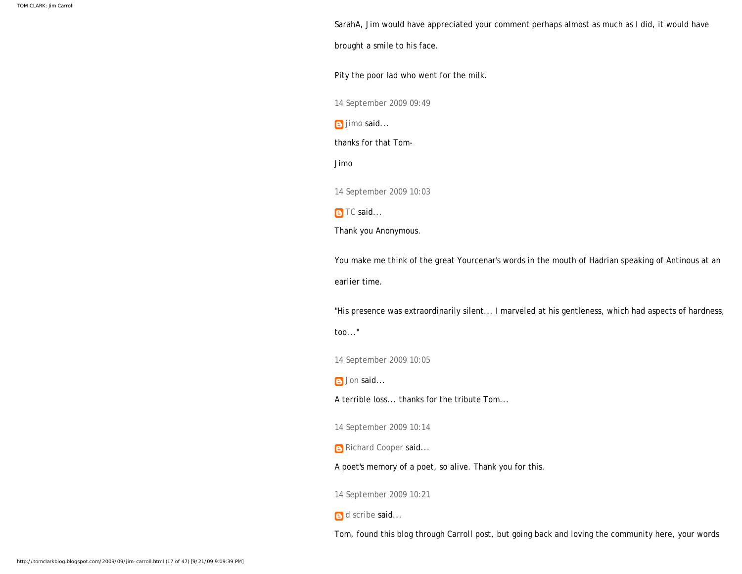SarahA, Jim would have appreciated your comment perhaps almost as much as I did, it would have

brought a smile to his face.

Pity the poor lad who went for the milk.

[14 September 2009 09:49](http://tomclarkblog.blogspot.com/2009/09/jim-carroll.html?showComment=1252946943721#c8299786675609530722)

**a** [jimo](http://www.blogger.com/profile/10629059958828056906) said...

thanks for that Tom-

Jimo

[14 September 2009 10:03](http://tomclarkblog.blogspot.com/2009/09/jim-carroll.html?showComment=1252947796426#c8091345385084556510)

**B** [TC](http://www.blogger.com/profile/05915822857461178942) said...

Thank you Anonymous.

You make me think of the great Yourcenar's words in the mouth of Hadrian speaking of Antinous at an earlier time.

"His presence was extraordinarily silent... I marveled at his gentleness, which had aspects of hardness,

too..."

[14 September 2009 10:05](http://tomclarkblog.blogspot.com/2009/09/jim-carroll.html?showComment=1252947954799#c6814950631483237659)

**B** [Jon](http://www.blogger.com/profile/07415555531504843017) said...

A terrible loss... thanks for the tribute Tom...

[14 September 2009 10:14](http://tomclarkblog.blogspot.com/2009/09/jim-carroll.html?showComment=1252948470183#c6585148618910789594)

**[Richard Cooper](http://www.blogger.com/profile/04094016831874148306) said...** 

A poet's memory of a poet, so alive. Thank you for this.

[14 September 2009 10:21](http://tomclarkblog.blogspot.com/2009/09/jim-carroll.html?showComment=1252948861822#c1201269185656020187)

**a**[d scribe](http://www.blogger.com/profile/08242682202760522439) said...

Tom, found this blog through Carroll post, but going back and loving the community here, your words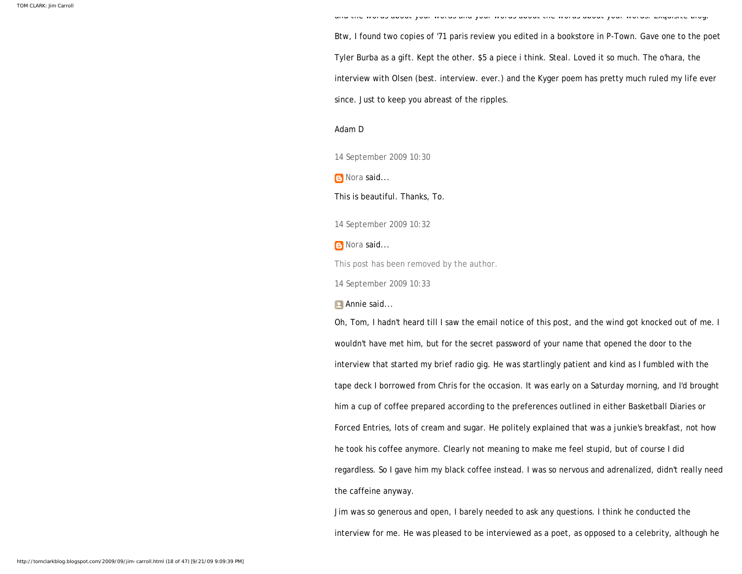Btw, I found two copies of '71 paris review you edited in a bookstore in P-Town. Gave one to the poet Tyler Burba as a gift. Kept the other. \$5 a piece i think. Steal. Loved it so much. The o'hara, the interview with Olsen (best. interview. ever.) and the Kyger poem has pretty much ruled my life ever since. Just to keep you abreast of the ripples.

and the words about your words and your words about the words about your words. Exquisite blog.

#### Adam D

[14 September 2009 10:30](http://tomclarkblog.blogspot.com/2009/09/jim-carroll.html?showComment=1252949415043#c5900222670703850586)

**B** [Nora](http://www.blogger.com/profile/14439557611640319928) said...

This is beautiful. Thanks, To.

[14 September 2009 10:32](http://tomclarkblog.blogspot.com/2009/09/jim-carroll.html?showComment=1252949562439#c4247786592348374652)

**B** [Nora](http://www.blogger.com/profile/14439557611640319928) said...

*This post has been removed by the author.*

[14 September 2009 10:33](http://tomclarkblog.blogspot.com/2009/09/jim-carroll.html?showComment=1252949626784#c285492822059794025)

**Annie said...** 

Oh, Tom, I hadn't heard till I saw the email notice of this post, and the wind got knocked out of me. I wouldn't have met him, but for the secret password of your name that opened the door to the interview that started my brief radio gig. He was startlingly patient and kind as I fumbled with the tape deck I borrowed from Chris for the occasion. It was early on a Saturday morning, and I'd brought him a cup of coffee prepared according to the preferences outlined in either Basketball Diaries or Forced Entries, lots of cream and sugar. He politely explained that was a junkie's breakfast, not how he took his coffee anymore. Clearly not meaning to make me feel stupid, but of course I did regardless. So I gave him my black coffee instead. I was so nervous and adrenalized, didn't really need the caffeine anyway.

Jim was so generous and open, I barely needed to ask any questions. I think he conducted the interview for me. He was pleased to be interviewed as a poet, as opposed to a celebrity, although he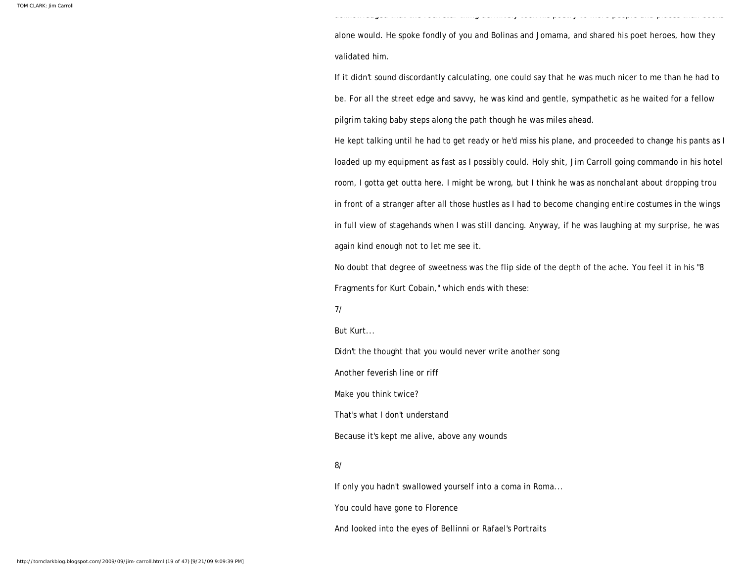alone would. He spoke fondly of you and Bolinas and Jomama, and shared his poet heroes, how they validated him.

acknowledged that the rock star thing definitely took his poetry to more people and places than books

If it didn't sound discordantly calculating, one could say that he was much nicer to me than he had to be. For all the street edge and savvy, he was kind and gentle, sympathetic as he waited for a fellow pilgrim taking baby steps along the path though he was miles ahead.

He kept talking until he had to get ready or he'd miss his plane, and proceeded to change his pants as I loaded up my equipment as fast as I possibly could. Holy shit, Jim Carroll going commando in his hotel room, I gotta get outta here. I might be wrong, but I think he was as nonchalant about dropping trou in front of a stranger after all those hustles as I had to become changing entire costumes in the wings in full view of stagehands when I was still dancing. Anyway, if he was laughing at my surprise, he was again kind enough not to let me see it.

No doubt that degree of sweetness was the flip side of the depth of the ache. You feel it in his "8 Fragments for Kurt Cobain," which ends with these:

7/

But Kurt...

Didn't the thought that you would never write another song

Another feverish line or riff

Make you think twice?

That's what I don't understand

Because it's kept me alive, above any wounds

8/

If only you hadn't swallowed yourself into a coma in Roma...

You could have gone to Florence

And looked into the eyes of Bellinni or Rafael's Portraits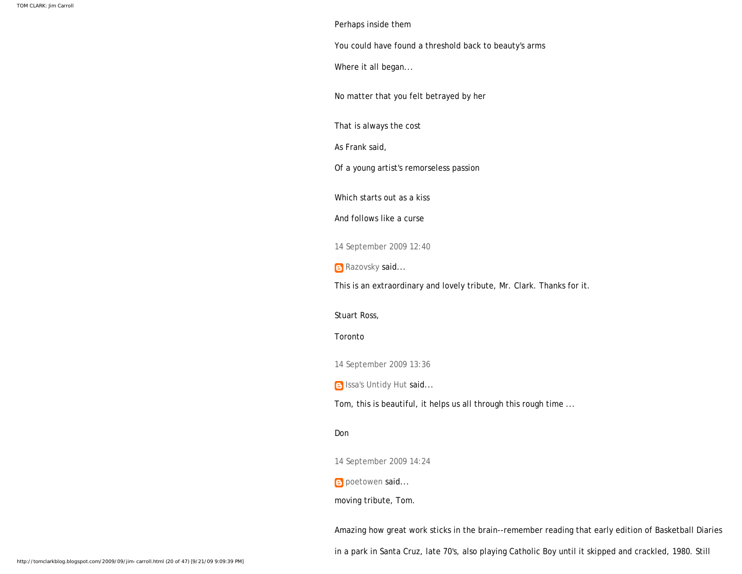Perhaps inside them

You could have found a threshold back to beauty's arms

Where it all began...

No matter that you felt betrayed by her

That is always the cost

As Frank said,

Of a young artist's remorseless passion

Which starts out as a kiss

And follows like a curse

[14 September 2009 12:40](http://tomclarkblog.blogspot.com/2009/09/jim-carroll.html?showComment=1252957209345#c4323289210391301620)

**B** [Razovsky](http://www.blogger.com/profile/02204691525944577597) said...

This is an extraordinary and lovely tribute, Mr. Clark. Thanks for it.

Stuart Ross,

Toronto

[14 September 2009 13:36](http://tomclarkblog.blogspot.com/2009/09/jim-carroll.html?showComment=1252960594223#c3581063891304703974)

**B** [Issa's Untidy Hut](http://www.blogger.com/profile/07352841590717991698) said...

Tom, this is beautiful, it helps us all through this rough time ...

#### Don

[14 September 2009 14:24](http://tomclarkblog.blogspot.com/2009/09/jim-carroll.html?showComment=1252963488808#c3514933844904327902)

[poetowen](http://www.blogger.com/profile/11278368064478791137) said...

moving tribute, Tom.

Amazing how great work sticks in the brain--remember reading that early edition of Basketball Diaries

in a park in Santa Cruz, late 70's, also playing Catholic Boy until it skipped and crackled, 1980. Still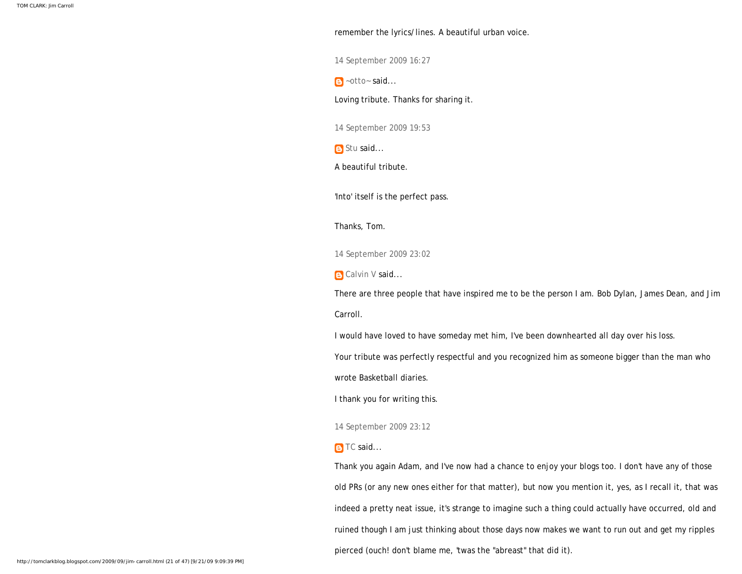remember the lyrics/lines. A beautiful urban voice.

[14 September 2009 16:27](http://tomclarkblog.blogspot.com/2009/09/jim-carroll.html?showComment=1252970838515#c4685949583882798071)

■ [~otto~](http://www.blogger.com/profile/08859835662556335529) said...

Loving tribute. Thanks for sharing it.

[14 September 2009 19:53](http://tomclarkblog.blogspot.com/2009/09/jim-carroll.html?showComment=1252983214235#c958730152442636594)

**B** [Stu](http://www.blogger.com/profile/17856424693319815534) said...

A beautiful tribute.

'Into' itself is the perfect pass.

Thanks, Tom.

[14 September 2009 23:02](http://tomclarkblog.blogspot.com/2009/09/jim-carroll.html?showComment=1252994522644#c4186330444207713276)

**B** [Calvin V](http://www.blogger.com/profile/07710926434059330719) said...

There are three people that have inspired me to be the person I am. Bob Dylan, James Dean, and Jim Carroll.

I would have loved to have someday met him, I've been downhearted all day over his loss.

Your tribute was perfectly respectful and you recognized him as someone bigger than the man who wrote Basketball diaries.

I thank you for writing this.

[14 September 2009 23:12](http://tomclarkblog.blogspot.com/2009/09/jim-carroll.html?showComment=1252995136451#c4888263901728952435)

 $\Box$  [TC](http://www.blogger.com/profile/05915822857461178942) said...

Thank you again Adam, and I've now had a chance to enjoy your blogs too. I don't have any of those old PRs (or any new ones either for that matter), but now you mention it, yes, as I recall it, that was indeed a pretty neat issue, it's strange to imagine such a thing could actually have occurred, old and ruined though I am just thinking about those days now makes we want to run out and get my ripples pierced (ouch! don't blame me, 'twas the "abreast" that did it).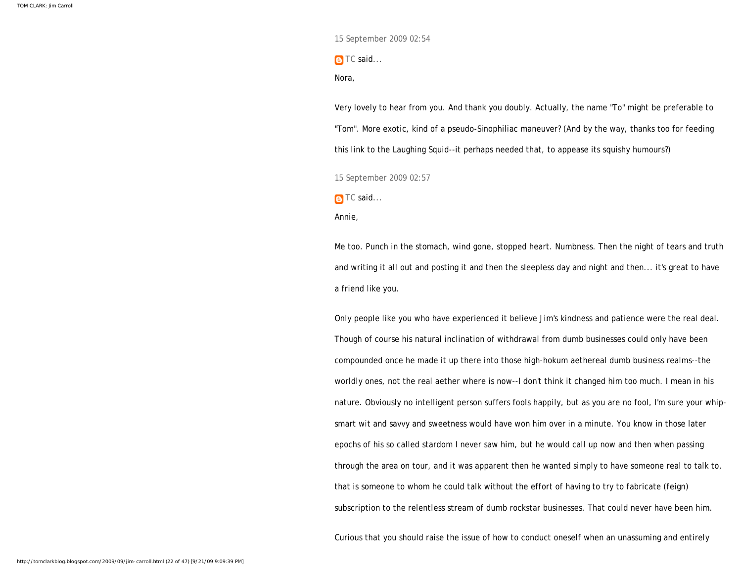[15 September 2009 02:54](http://tomclarkblog.blogspot.com/2009/09/jim-carroll.html?showComment=1253008498514#c7216657803176761056)

**B** [TC](http://www.blogger.com/profile/05915822857461178942) said...

Nora,

Very lovely to hear from you. And thank you doubly. Actually, the name "To" might be preferable to "Tom". More exotic, kind of a pseudo-Sinophiliac maneuver? (And by the way, thanks too for feeding this link to the Laughing Squid--it perhaps needed that, to appease its squishy humours?)

[15 September 2009 02:57](http://tomclarkblog.blogspot.com/2009/09/jim-carroll.html?showComment=1253008625363#c7366448859128109147)

**B** [TC](http://www.blogger.com/profile/05915822857461178942) said...

Annie,

Me too. Punch in the stomach, wind gone, stopped heart. Numbness. Then the night of tears and truth and writing it all out and posting it and then the sleepless day and night and then... it's great to have a friend like you.

Only people like you who have experienced it believe Jim's kindness and patience were the real deal. Though of course his natural inclination of withdrawal from dumb businesses could only have been compounded once he made it up there into those high-hokum aethereal dumb business realms--the worldly ones, not the real aether where is now--I don't think it changed him too much. I mean in his nature. Obviously no intelligent person suffers fools happily, but as you are no fool, I'm sure your whipsmart wit and savvy and sweetness would have won him over in a minute. You know in those later epochs of his so called stardom I never saw him, but he would call up now and then when passing through the area on tour, and it was apparent then he wanted simply to have someone real to talk to, that is someone to whom he could talk without the effort of having to try to fabricate (feign) subscription to the relentless stream of dumb rockstar businesses. That could never have been him.

Curious that you should raise the issue of how to conduct oneself when an unassuming and entirely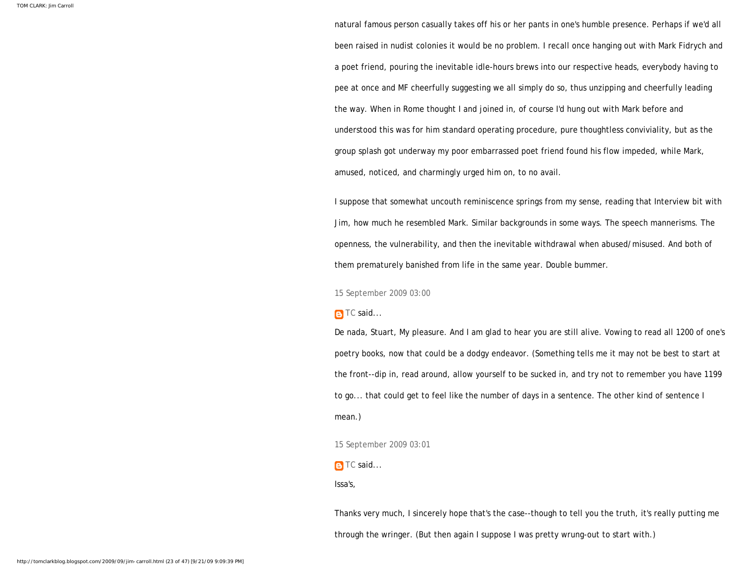natural famous person casually takes off his or her pants in one's humble presence. Perhaps if we'd all been raised in nudist colonies it would be no problem. I recall once hanging out with Mark Fidrych and a poet friend, pouring the inevitable idle-hours brews into our respective heads, everybody having to pee at once and MF cheerfully suggesting we all simply do so, thus unzipping and cheerfully leading the way. When in Rome thought I and joined in, of course I'd hung out with Mark before and understood this was for him standard operating procedure, pure thoughtless conviviality, but as the group splash got underway my poor embarrassed poet friend found his flow impeded, while Mark, amused, noticed, and charmingly urged him on, to no avail.

I suppose that somewhat uncouth reminiscence springs from my sense, reading that Interview bit with Jim, how much he resembled Mark. Similar backgrounds in some ways. The speech mannerisms. The openness, the vulnerability, and then the inevitable withdrawal when abused/misused. And both of them prematurely banished from life in the same year. Double bummer.

#### [15 September 2009 03:00](http://tomclarkblog.blogspot.com/2009/09/jim-carroll.html?showComment=1253008809616#c6374121229255841968)

#### $\Box$  [TC](http://www.blogger.com/profile/05915822857461178942) said...

De nada, Stuart, My pleasure. And I am glad to hear you are still alive. Vowing to read all 1200 of one's poetry books, now that could be a dodgy endeavor. (Something tells me it may not be best to start at the front--dip in, read around, allow yourself to be sucked in, and try not to remember you have 1199 to go... that could get to feel like the number of days in a sentence. The other kind of sentence I mean.)

#### [15 September 2009 03:01](http://tomclarkblog.blogspot.com/2009/09/jim-carroll.html?showComment=1253008910111#c6707541530741171056)

#### $\Box$  [TC](http://www.blogger.com/profile/05915822857461178942) said...

#### Issa's,

Thanks very much, I sincerely hope that's the case--though to tell you the truth, it's really putting me through the wringer. (But then again I suppose I was pretty wrung-out to start with.)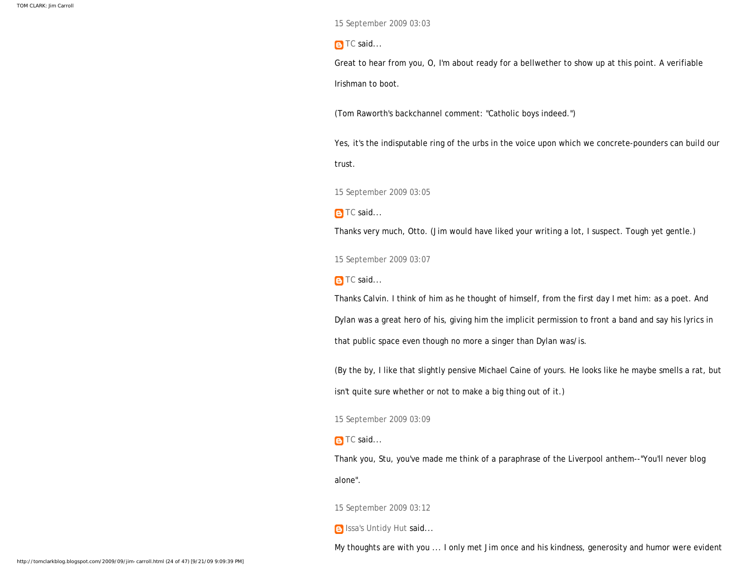[15 September 2009 03:03](http://tomclarkblog.blogspot.com/2009/09/jim-carroll.html?showComment=1253009035302#c735139139285031145)

**B** [TC](http://www.blogger.com/profile/05915822857461178942) said...

Great to hear from you, O, I'm about ready for a bellwether to show up at this point. A verifiable Irishman to boot.

(Tom Raworth's backchannel comment: "Catholic boys indeed.")

Yes, it's the indisputable ring of the urbs in the voice upon which we concrete-pounders can build our trust.

[15 September 2009 03:05](http://tomclarkblog.blogspot.com/2009/09/jim-carroll.html?showComment=1253009159566#c5438958087615932564)

**B** [TC](http://www.blogger.com/profile/05915822857461178942) said...

Thanks very much, Otto. (Jim would have liked your writing a lot, I suspect. Tough yet gentle.)

[15 September 2009 03:07](http://tomclarkblog.blogspot.com/2009/09/jim-carroll.html?showComment=1253009249743#c5462125704964732556)

**B** [TC](http://www.blogger.com/profile/05915822857461178942) said...

Thanks Calvin. I think of him as he thought of himself, from the first day I met him: as a poet. And Dylan was a great hero of his, giving him the implicit permission to front a band and say his lyrics in that public space even though no more a singer than Dylan was/is.

(By the by, I like that slightly pensive Michael Caine of yours. He looks like he maybe smells a rat, but isn't quite sure whether or not to make a big thing out of it.)

#### [15 September 2009 03:09](http://tomclarkblog.blogspot.com/2009/09/jim-carroll.html?showComment=1253009361896#c588620816699535257)

**B** [TC](http://www.blogger.com/profile/05915822857461178942) said...

Thank you, Stu, you've made me think of a paraphrase of the Liverpool anthem--"You'll never blog

alone".

[15 September 2009 03:12](http://tomclarkblog.blogspot.com/2009/09/jim-carroll.html?showComment=1253009559367#c130343570868332220)

**B** [Issa's Untidy Hut](http://www.blogger.com/profile/07352841590717991698) said...

My thoughts are with you ... I only met Jim once and his kindness, generosity and humor were evident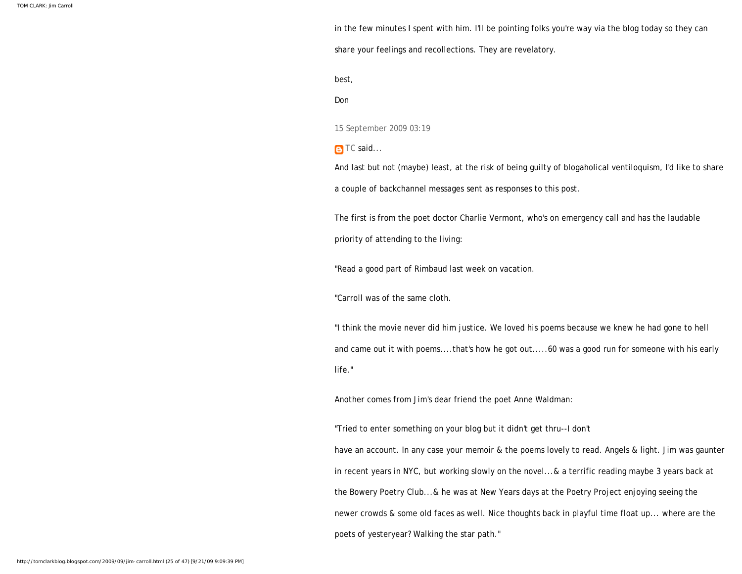in the few minutes I spent with him. I'll be pointing folks you're way via the blog today so they can

share your feelings and recollections. They are revelatory.

best,

Don

[15 September 2009 03:19](http://tomclarkblog.blogspot.com/2009/09/jim-carroll.html?showComment=1253009987937#c4326187058047710568)

**B** [TC](http://www.blogger.com/profile/05915822857461178942) said...

And last but not (maybe) least, at the risk of being guilty of blogaholical ventiloquism, I'd like to share a couple of backchannel messages sent as responses to this post.

The first is from the poet doctor Charlie Vermont, who's on emergency call and has the laudable priority of attending to the living:

"Read a good part of Rimbaud last week on vacation.

"Carroll was of the same cloth.

"I think the movie never did him justice. We loved his poems because we knew he had gone to hell and came out it with poems....that's how he got out.....60 was a good run for someone with his early life."

Another comes from Jim's dear friend the poet Anne Waldman:

"Tried to enter something on your blog but it didn't get thru--I don't

have an account. In any case your memoir & the poems lovely to read. Angels & light. Jim was gaunter in recent years in NYC, but working slowly on the novel...& a terrific reading maybe 3 years back at the Bowery Poetry Club...& he was at New Years days at the Poetry Project enjoying seeing the newer crowds & some old faces as well. Nice thoughts back in playful time float up... where are the poets of yesteryear? Walking the star path."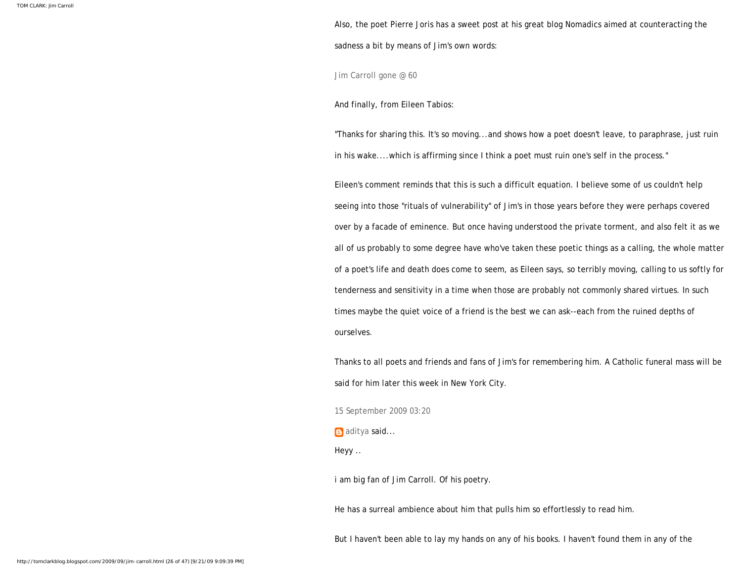Also, the poet Pierre Joris has a sweet post at his great blog Nomadics aimed at counteracting the sadness a bit by means of Jim's own words:

[Jim Carroll gone @ 60](http://pierrejoris.com/blog/?p=1979)

And finally, from Eileen Tabios:

"Thanks for sharing this. It's so moving...and shows how a poet doesn't leave, to paraphrase, just ruin in his wake....which is affirming since I think a poet must ruin one's self in the process."

Eileen's comment reminds that this is such a difficult equation. I believe some of us couldn't help seeing into those "rituals of vulnerability" of Jim's in those years before they were perhaps covered over by a facade of eminence. But once having understood the private torment, and also felt it as we all of us probably to some degree have who've taken these poetic things as a calling, the whole matter of a poet's life and death does come to seem, as Eileen says, so terribly moving, calling to us softly for tenderness and sensitivity in a time when those are probably not commonly shared virtues. In such times maybe the quiet voice of a friend is the best we can ask--each from the ruined depths of ourselves.

Thanks to all poets and friends and fans of Jim's for remembering him. A Catholic funeral mass will be said for him later this week in New York City.

#### [15 September 2009 03:20](http://tomclarkblog.blogspot.com/2009/09/jim-carroll.html?showComment=1253010003569#c604025630989398279)

[aditya](http://www.blogger.com/profile/16078144194220301083) said...

Heyy ..

i am big fan of Jim Carroll. Of his poetry.

He has a surreal ambience about him that pulls him so effortlessly to read him.

But I haven't been able to lay my hands on any of his books. I haven't found them in any of the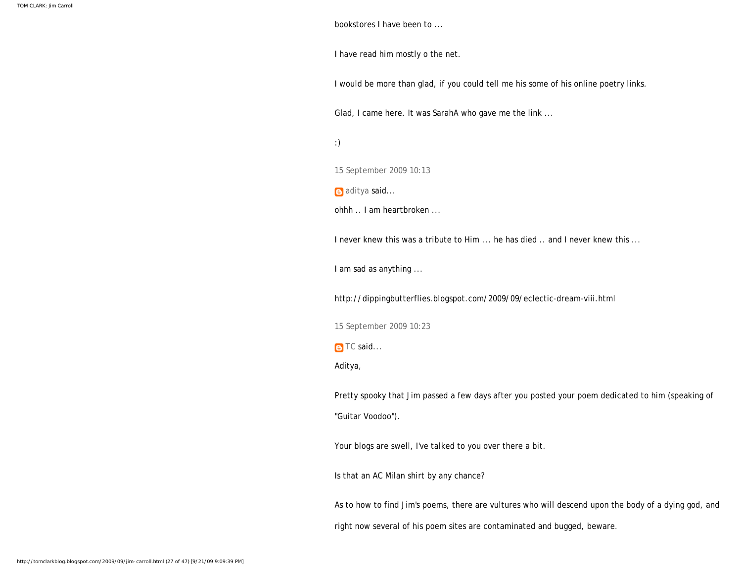bookstores I have been to ...

I have read him mostly o the net.

I would be more than glad, if you could tell me his some of his online poetry links.

Glad, I came here. It was SarahA who gave me the link ...

:)

[15 September 2009 10:13](http://tomclarkblog.blogspot.com/2009/09/jim-carroll.html?showComment=1253034784818#c7603395373595024301)

**a** [aditya](http://www.blogger.com/profile/16078144194220301083) said...

ohhh .. I am heartbroken ...

I never knew this was a tribute to Him ... he has died .. and I never knew this ...

I am sad as anything ...

http://dippingbutterflies.blogspot.com/2009/09/eclectic-dream-viii.html

[15 September 2009 10:23](http://tomclarkblog.blogspot.com/2009/09/jim-carroll.html?showComment=1253035437645#c6586487781297023957)

**B** [TC](http://www.blogger.com/profile/05915822857461178942) said...

Aditya,

Pretty spooky that Jim passed a few days after you posted your poem dedicated to him (speaking of "Guitar Voodoo").

Your blogs are swell, I've talked to you over there a bit.

Is that an AC Milan shirt by any chance?

As to how to find Jim's poems, there are vultures who will descend upon the body of a dying god, and

right now several of his poem sites are contaminated and bugged, beware.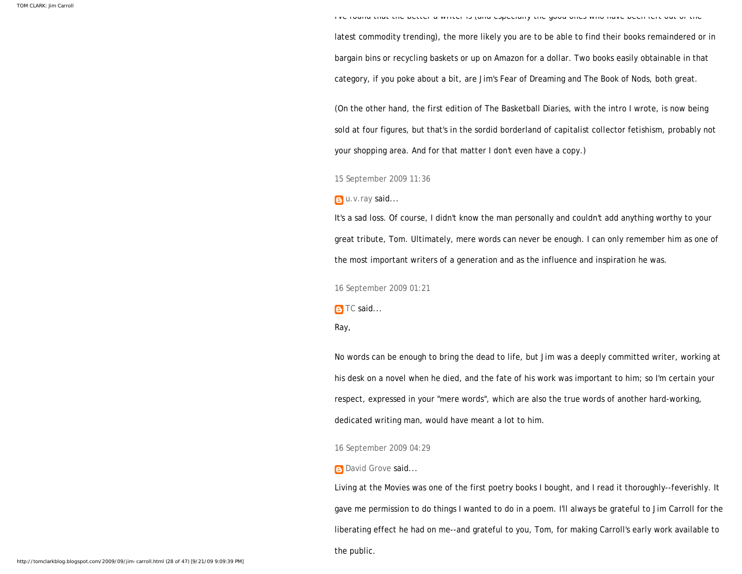I've found that the better a writer is (and especially the good ones who have been left out of the

latest commodity trending), the more likely you are to be able to find their books remaindered or in bargain bins or recycling baskets or up on Amazon for a dollar. Two books easily obtainable in that category, if you poke about a bit, are Jim's Fear of Dreaming and The Book of Nods, both great.

(On the other hand, the first edition of The Basketball Diaries, with the intro I wrote, is now being sold at four figures, but that's in the sordid borderland of capitalist collector fetishism, probably not your shopping area. And for that matter I don't even have a copy.)

#### [15 September 2009 11:36](http://tomclarkblog.blogspot.com/2009/09/jim-carroll.html?showComment=1253039782737#c2092389804459464926)

**B** [u.v.ray](http://www.blogger.com/profile/02866397025200956617) said...

It's a sad loss. Of course, I didn't know the man personally and couldn't add anything worthy to your great tribute, Tom. Ultimately, mere words can never be enough. I can only remember him as one of the most important writers of a generation and as the influence and inspiration he was.

[16 September 2009 01:21](http://tomclarkblog.blogspot.com/2009/09/jim-carroll.html?showComment=1253089317198#c3058837398178803049)

 $\Box$  [TC](http://www.blogger.com/profile/05915822857461178942) said...

Ray,

No words can be enough to bring the dead to life, but Jim was a deeply committed writer, working at his desk on a novel when he died, and the fate of his work was important to him; so I'm certain your respect, expressed in your "mere words", which are also the true words of another hard-working, dedicated writing man, would have meant a lot to him.

#### [16 September 2009 04:29](http://tomclarkblog.blogspot.com/2009/09/jim-carroll.html?showComment=1253100568649#c5003339006099202873)

**P** [David Grove](http://www.blogger.com/profile/03020484032408233158) said...

Living at the Movies was one of the first poetry books I bought, and I read it thoroughly--feverishly. It gave me permission to do things I wanted to do in a poem. I'll always be grateful to Jim Carroll for the liberating effect he had on me--and grateful to you, Tom, for making Carroll's early work available to the public.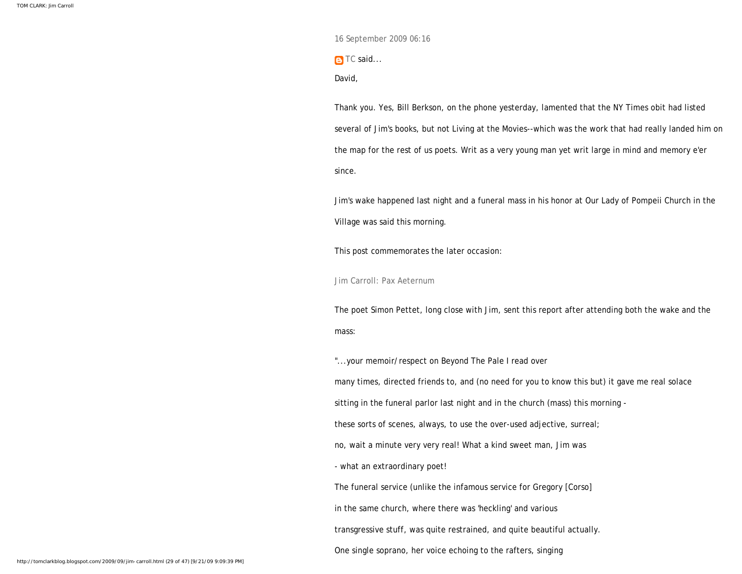[16 September 2009 06:16](http://tomclarkblog.blogspot.com/2009/09/jim-carroll.html?showComment=1253106971043#c7172231161422720970)

**B** [TC](http://www.blogger.com/profile/05915822857461178942) said...

David,

Thank you. Yes, Bill Berkson, on the phone yesterday, lamented that the NY Times obit had listed several of Jim's books, but not Living at the Movies--which was the work that had really landed him on the map for the rest of us poets. Writ as a very young man yet writ large in mind and memory e'er since.

Jim's wake happened last night and a funeral mass in his honor at Our Lady of Pompeii Church in the Village was said this morning.

This post commemorates the later occasion:

[Jim Carroll: Pax Aeternum](http://vanitasmagazine.blogspot.com/2009/09/tc-jim-carroll-pax-aeternum.html)

The poet Simon Pettet, long close with Jim, sent this report after attending both the wake and the mass:

"...your memoir/respect on Beyond The Pale I read over many times, directed friends to, and (no need for you to know this but) it gave me real solace sitting in the funeral parlor last night and in the church (mass) this morning these sorts of scenes, always, to use the over-used adjective, surreal; no, wait a minute very very real! What a kind sweet man, Jim was - what an extraordinary poet! The funeral service (unlike the infamous service for Gregory [Corso] in the same church, where there was 'heckling' and various transgressive stuff, was quite restrained, and quite beautiful actually.

One single soprano, her voice echoing to the rafters, singing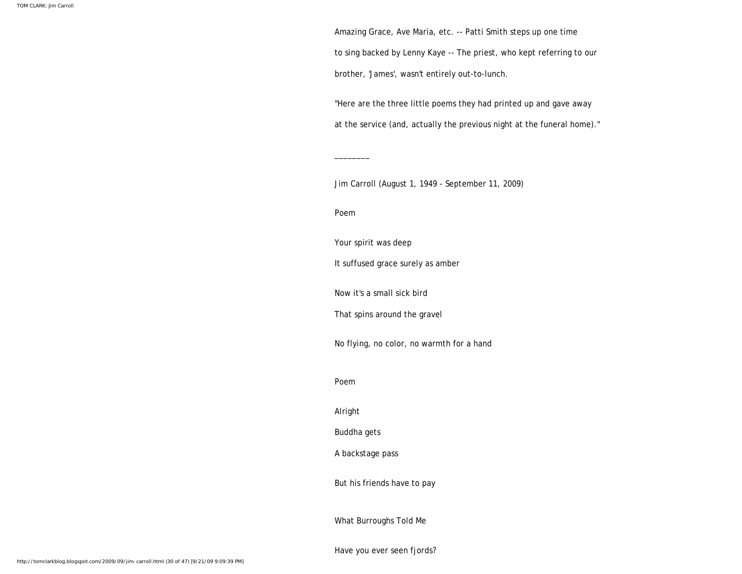Amazing Grace, Ave Maria, etc. -- Patti Smith steps up one time to sing backed by Lenny Kaye -- The priest, who kept referring to our brother, 'James', wasn't entirely out-to-lunch.

"Here are the three little poems they had printed up and gave away at the service (and, actually the previous night at the funeral home)."

Jim Carroll (August 1, 1949 - September 11, 2009)

Poem

 $\overline{\phantom{a}}$   $\overline{\phantom{a}}$ 

Your spirit was deep

It suffused grace surely as amber

Now it's a small sick bird

That spins around the gravel

No flying, no color, no warmth for a hand

Poem

Alright

Buddha gets

A backstage pass

But his friends have to pay

What Burroughs Told Me

Have you ever seen fjords?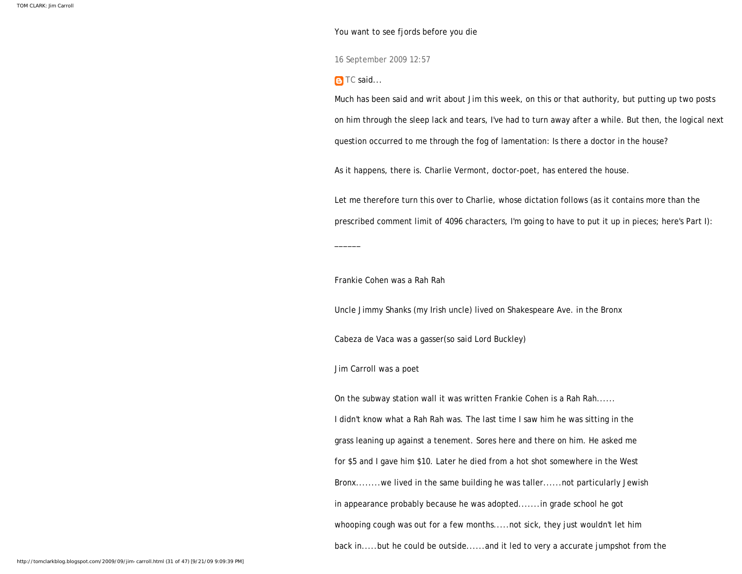#### You want to see fjords before you die

[16 September 2009 12:57](http://tomclarkblog.blogspot.com/2009/09/jim-carroll.html?showComment=1253131054748#c6596162022590073090)

#### **B** [TC](http://www.blogger.com/profile/05915822857461178942) said...

 $\overline{\phantom{a}}$ 

Much has been said and writ about Jim this week, on this or that authority, but putting up two posts on him through the sleep lack and tears, I've had to turn away after a while. But then, the logical next question occurred to me through the fog of lamentation: Is there a doctor in the house?

As it happens, there is. Charlie Vermont, doctor-poet, has entered the house.

Let me therefore turn this over to Charlie, whose dictation follows (as it contains more than the prescribed comment limit of 4096 characters, I'm going to have to put it up in pieces; here's Part I):

Frankie Cohen was a Rah Rah

Uncle Jimmy Shanks (my Irish uncle) lived on Shakespeare Ave. in the Bronx

Cabeza de Vaca was a gasser(so said Lord Buckley)

Jim Carroll was a poet

On the subway station wall it was written Frankie Cohen is a Rah Rah...... I didn't know what a Rah Rah was. The last time I saw him he was sitting in the grass leaning up against a tenement. Sores here and there on him. He asked me for \$5 and I gave him \$10. Later he died from a hot shot somewhere in the West Bronx........we lived in the same building he was taller......not particularly Jewish in appearance probably because he was adopted.......in grade school he got whooping cough was out for a few months.....not sick, they just wouldn't let him back in.....but he could be outside......and it led to very a accurate jumpshot from the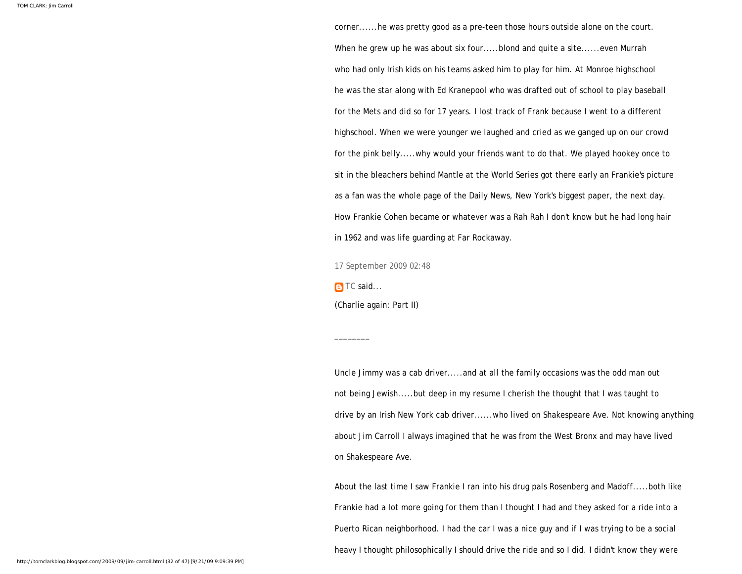corner......he was pretty good as a pre-teen those hours outside alone on the court. When he grew up he was about six four.....blond and quite a site......even Murrah who had only Irish kids on his teams asked him to play for him. At Monroe highschool he was the star along with Ed Kranepool who was drafted out of school to play baseball for the Mets and did so for 17 years. I lost track of Frank because I went to a different highschool. When we were younger we laughed and cried as we ganged up on our crowd for the pink belly.....why would your friends want to do that. We played hookey once to sit in the bleachers behind Mantle at the World Series got there early an Frankie's picture as a fan was the whole page of the Daily News, New York's biggest paper, the next day. How Frankie Cohen became or whatever was a Rah Rah I don't know but he had long hair in 1962 and was life guarding at Far Rockaway.

[17 September 2009 02:48](http://tomclarkblog.blogspot.com/2009/09/jim-carroll.html?showComment=1253180914237#c6216728146078374760)

**B** [TC](http://www.blogger.com/profile/05915822857461178942) said...

 $\overline{\phantom{a}}$   $\overline{\phantom{a}}$ 

(Charlie again: Part II)

Uncle Jimmy was a cab driver.....and at all the family occasions was the odd man out not being Jewish.....but deep in my resume I cherish the thought that I was taught to drive by an Irish New York cab driver......who lived on Shakespeare Ave. Not knowing anything about Jim Carroll I always imagined that he was from the West Bronx and may have lived on Shakespeare Ave.

About the last time I saw Frankie I ran into his drug pals Rosenberg and Madoff.....both like Frankie had a lot more going for them than I thought I had and they asked for a ride into a Puerto Rican neighborhood. I had the car I was a nice guy and if I was trying to be a social heavy I thought philosophically I should drive the ride and so I did. I didn't know they were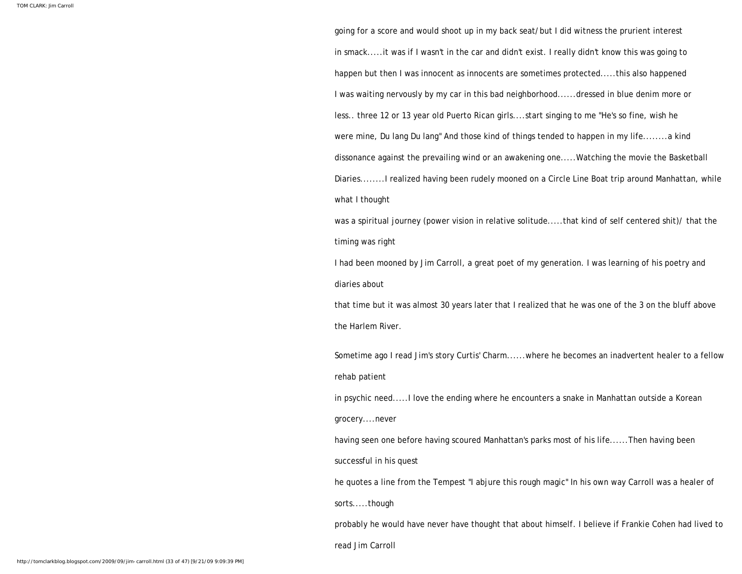going for a score and would shoot up in my back seat/but I did witness the prurient interest in smack.....it was if I wasn't in the car and didn't exist. I really didn't know this was going to happen but then I was innocent as innocents are sometimes protected.....this also happened I was waiting nervously by my car in this bad neighborhood......dressed in blue denim more or less.. three 12 or 13 year old Puerto Rican girls....start singing to me "He's so fine, wish he were mine, Du lang Du lang" And those kind of things tended to happen in my life........a kind dissonance against the prevailing wind or an awakening one.....Watching the movie the Basketball Diaries........I realized having been rudely mooned on a Circle Line Boat trip around Manhattan, while what I thought

was a spiritual journey (power vision in relative solitude.....that kind of self centered shit)/ that the timing was right

I had been mooned by Jim Carroll, a great poet of my generation. I was learning of his poetry and diaries about

that time but it was almost 30 years later that I realized that he was one of the 3 on the bluff above the Harlem River.

Sometime ago I read Jim's story Curtis' Charm......where he becomes an inadvertent healer to a fellow rehab patient

in psychic need.....I love the ending where he encounters a snake in Manhattan outside a Korean

grocery....never

having seen one before having scoured Manhattan's parks most of his life......Then having been

successful in his quest

he quotes a line from the Tempest "I abjure this rough magic" In his own way Carroll was a healer of

sorts.....though

probably he would have never have thought that about himself. I believe if Frankie Cohen had lived to

read Jim Carroll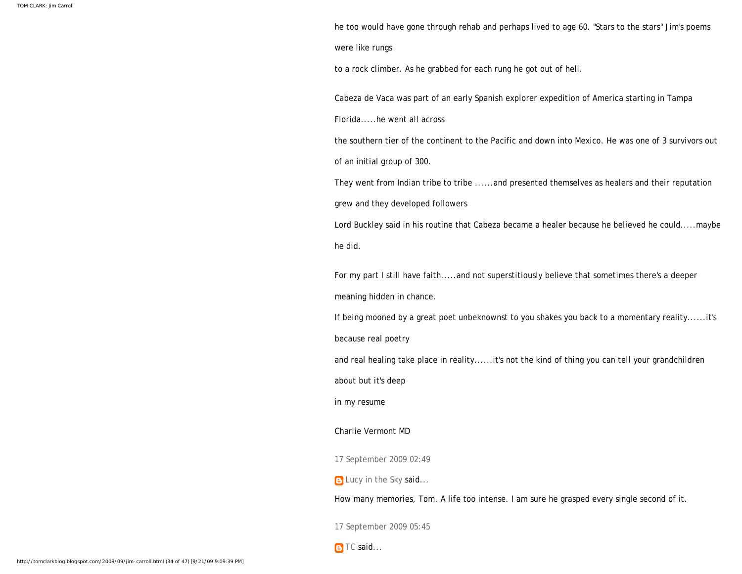he too would have gone through rehab and perhaps lived to age 60. "Stars to the stars" Jim's poems

were like rungs

to a rock climber. As he grabbed for each rung he got out of hell.

Cabeza de Vaca was part of an early Spanish explorer expedition of America starting in Tampa

Florida.....he went all across

the southern tier of the continent to the Pacific and down into Mexico. He was one of 3 survivors out of an initial group of 300.

They went from Indian tribe to tribe ......and presented themselves as healers and their reputation

grew and they developed followers

Lord Buckley said in his routine that Cabeza became a healer because he believed he could.....maybe he did.

For my part I still have faith.....and not superstitiously believe that sometimes there's a deeper meaning hidden in chance.

If being mooned by a great poet unbeknownst to you shakes you back to a momentary reality......it's

because real poetry

and real healing take place in reality......it's not the kind of thing you can tell your grandchildren

about but it's deep

in my resume

Charlie Vermont MD

[17 September 2009 02:49](http://tomclarkblog.blogspot.com/2009/09/jim-carroll.html?showComment=1253180969629#c3271438759561600758)

**B** [Lucy in the Sky](http://www.blogger.com/profile/01855221914797635515) said...

How many memories, Tom. A life too intense. I am sure he grasped every single second of it.

[17 September 2009 05:45](http://tomclarkblog.blogspot.com/2009/09/jim-carroll.html?showComment=1253191551287#c8747426415116722248)

**B** [TC](http://www.blogger.com/profile/05915822857461178942) said...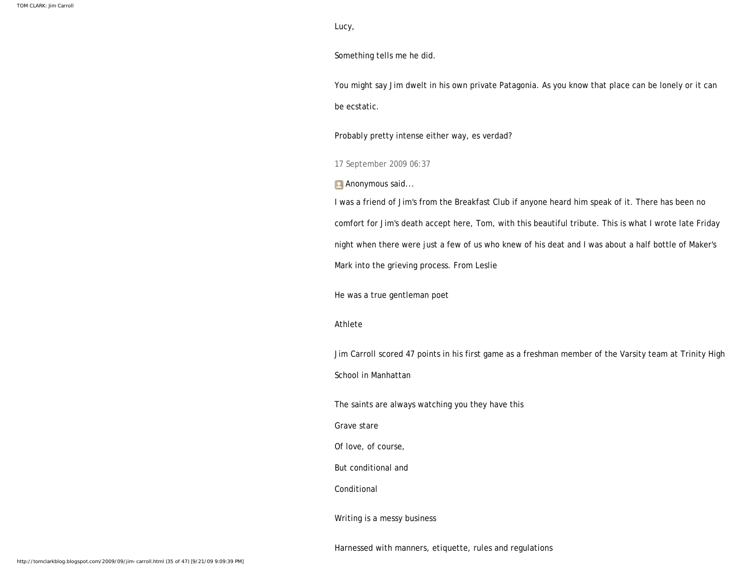Lucy,

Something tells me he did.

You might say Jim dwelt in his own private Patagonia. As you know that place can be lonely or it can be ecstatic.

Probably pretty intense either way, es verdad?

[17 September 2009 06:37](http://tomclarkblog.blogspot.com/2009/09/jim-carroll.html?showComment=1253194658210#c911554320335561958)

**Anonymous said...** 

I was a friend of Jim's from the Breakfast Club if anyone heard him speak of it. There has been no comfort for Jim's death accept here, Tom, with this beautiful tribute. This is what I wrote late Friday night when there were just a few of us who knew of his deat and I was about a half bottle of Maker's Mark into the grieving process. From Leslie

He was a true gentleman poet

Athlete

Jim Carroll scored 47 points in his first game as a freshman member of the Varsity team at Trinity High School in Manhattan

The saints are always watching you they have this

Grave stare

Of love, of course,

But conditional and

Conditional

Writing is a messy business

Harnessed with manners, etiquette, rules and regulations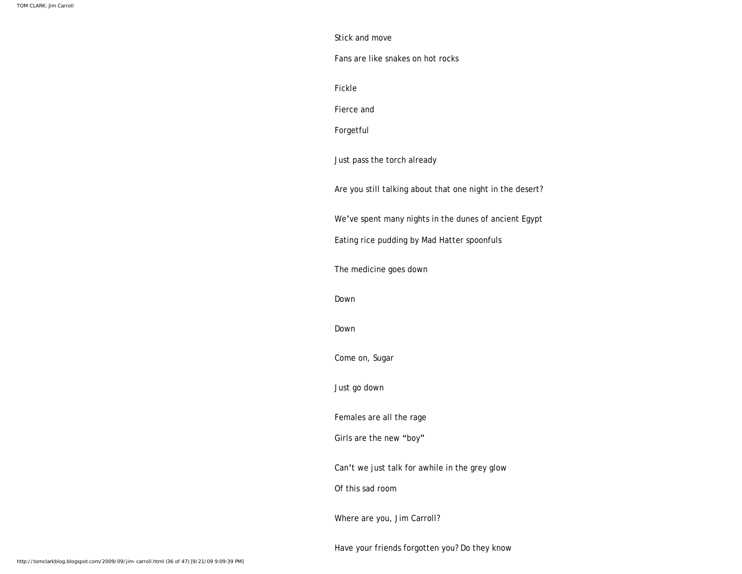Stick and move

Fans are like snakes on hot rocks

Fickle

Fierce and

Forgetful

Just pass the torch already

Are you still talking about that one night in the desert?

We've spent many nights in the dunes of ancient Egypt

Eating rice pudding by Mad Hatter spoonfuls

The medicine goes down

Down

Down

Come on, Sugar

Just go down

Females are all the rage

Girls are the new "boy"

Can't we just talk for awhile in the grey glow

Of this sad room

Where are you, Jim Carroll?

Have your friends forgotten you? Do they know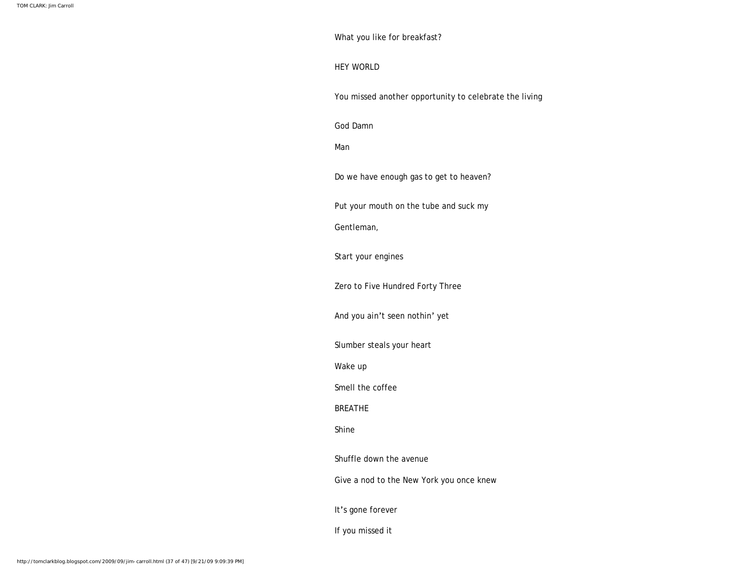What you like for breakfast?

HEY WORLD

You missed another opportunity to celebrate the living

God Damn

Man

Do we have enough gas to get to heaven?

Put your mouth on the tube and suck my

Gentleman,

Start your engines

Zero to Five Hundred Forty Three

And you ain't seen nothin' yet

Slumber steals your heart

Wake up

Smell the coffee

BREATHE

Shine

Shuffle down the avenue

Give a nod to the New York you once knew

It's gone forever

If you missed it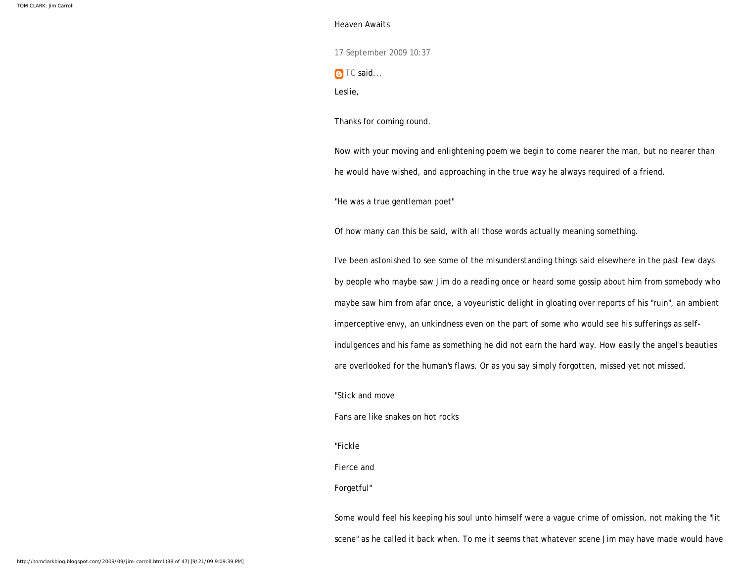#### Heaven Awaits

[17 September 2009 10:37](http://tomclarkblog.blogspot.com/2009/09/jim-carroll.html?showComment=1253209051573#c7163789087497505651)

**B** [TC](http://www.blogger.com/profile/05915822857461178942) said...

Leslie,

Thanks for coming round.

Now with your moving and enlightening poem we begin to come nearer the man, but no nearer than he would have wished, and approaching in the true way he always required of a friend.

"He was a true gentleman poet"

Of how many can this be said, with all those words actually meaning something.

I've been astonished to see some of the misunderstanding things said elsewhere in the past few days by people who maybe saw Jim do a reading once or heard some gossip about him from somebody who maybe saw him from afar once, a voyeuristic delight in gloating over reports of his "ruin", an ambient imperceptive envy, an unkindness even on the part of some who would see his sufferings as selfindulgences and his fame as something he did not earn the hard way. How easily the angel's beauties are overlooked for the human's flaws. Or as you say simply forgotten, missed yet not missed.

"Stick and move

Fans are like snakes on hot rocks

"Fickle

Fierce and

Forgetful"

Some would feel his keeping his soul unto himself were a vague crime of omission, not making the "lit scene" as he called it back when. To me it seems that whatever scene Jim may have made would have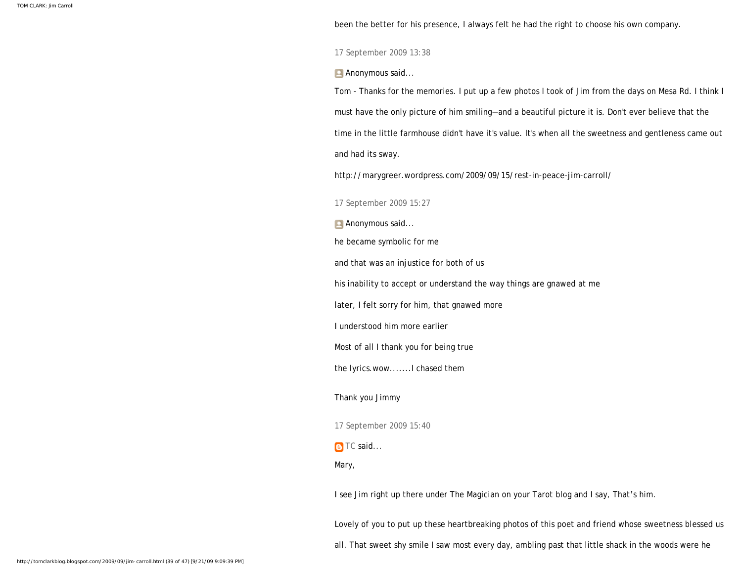been the better for his presence, I always felt he had the right to choose his own company.

[17 September 2009 13:38](http://tomclarkblog.blogspot.com/2009/09/jim-carroll.html?showComment=1253219899497#c821982555674564121)

**Anonymous said...** 

Tom - Thanks for the memories. I put up a few photos I took of Jim from the days on Mesa Rd. I think I must have the only picture of him smiling—and a beautiful picture it is. Don't ever believe that the time in the little farmhouse didn't have it's value. It's when all the sweetness and gentleness came out and had its sway.

http://marygreer.wordpress.com/2009/09/15/rest-in-peace-jim-carroll/

[17 September 2009 15:27](http://tomclarkblog.blogspot.com/2009/09/jim-carroll.html?showComment=1253226449854#c1728410631720788702)

**Anonymous said...** 

he became symbolic for me

and that was an injustice for both of us

his inability to accept or understand the way things are gnawed at me

later, I felt sorry for him, that gnawed more

I understood him more earlier

Most of all I thank you for being true

the lyrics.wow.......I chased them

Thank you Jimmy

[17 September 2009 15:40](http://tomclarkblog.blogspot.com/2009/09/jim-carroll.html?showComment=1253227215851#c3215406470689005720)

**B** [TC](http://www.blogger.com/profile/05915822857461178942) said...

Mary,

I see Jim right up there under The Magician on your Tarot blog and I say, That's him.

Lovely of you to put up these heartbreaking photos of this poet and friend whose sweetness blessed us

all. That sweet shy smile I saw most every day, ambling past that little shack in the woods were he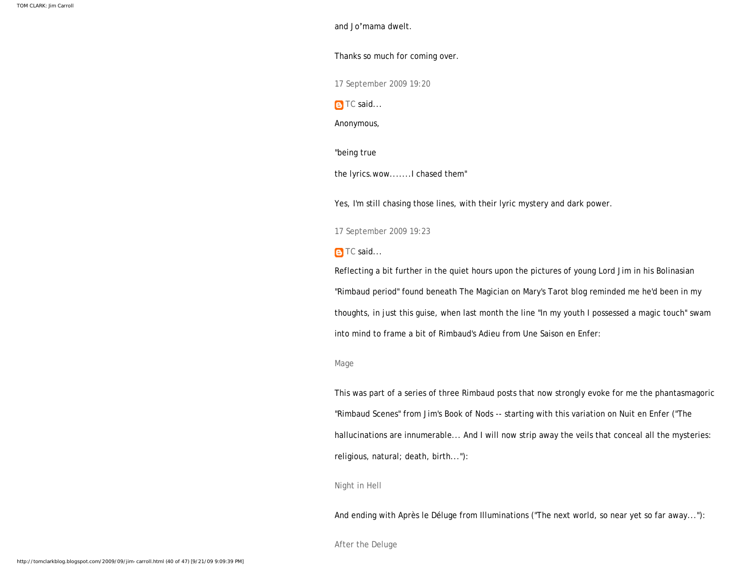and Jo'mama dwelt.

Thanks so much for coming over.

[17 September 2009 19:20](http://tomclarkblog.blogspot.com/2009/09/jim-carroll.html?showComment=1253240402219#c2920746743022000777)

**B** [TC](http://www.blogger.com/profile/05915822857461178942) said...

Anonymous,

"being true

the lyrics.wow.......I chased them"

Yes, I'm still chasing those lines, with their lyric mystery and dark power.

[17 September 2009 19:23](http://tomclarkblog.blogspot.com/2009/09/jim-carroll.html?showComment=1253240606244#c6937121306695601099)

**B** [TC](http://www.blogger.com/profile/05915822857461178942) said...

Reflecting a bit further in the quiet hours upon the pictures of young Lord Jim in his Bolinasian "Rimbaud period" found beneath The Magician on Mary's Tarot blog reminded me he'd been in my thoughts, in just this guise, when last month the line "In my youth I possessed a magic touch" swam into mind to frame a bit of Rimbaud's Adieu from Une Saison en Enfer:

#### [Mage](http://tomclarkblog.blogspot.com/2009/08/mage.html)

This was part of a series of three Rimbaud posts that now strongly evoke for me the phantasmagoric "Rimbaud Scenes" from Jim's Book of Nods -- starting with this variation on Nuit en Enfer ("The hallucinations are innumerable... And I will now strip away the veils that conceal all the mysteries: religious, natural; death, birth..."):

#### [Night in Hell](http://tomclarkblog.blogspot.com/2009/08/night-in-hell.html)

And ending with Après le Déluge from Illuminations ("The next world, so near yet so far away..."):

[After the Deluge](http://tomclarkblog.blogspot.com/2009/08/after-deluge.html)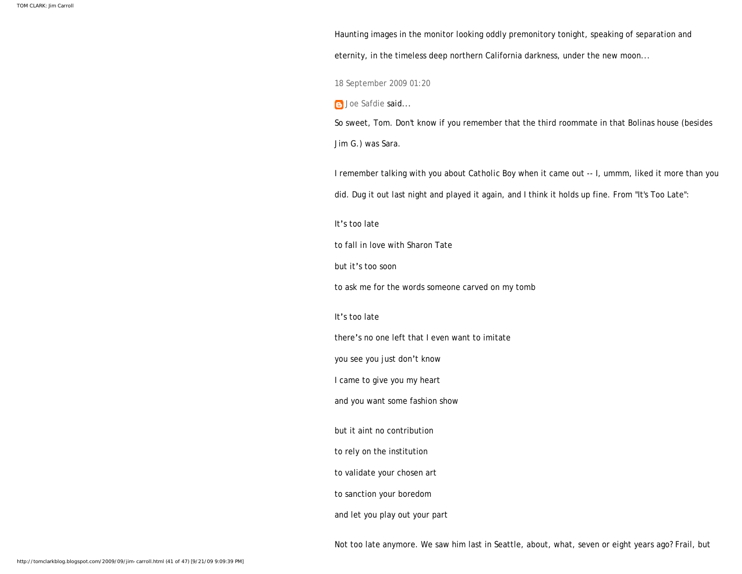Haunting images in the monitor looking oddly premonitory tonight, speaking of separation and eternity, in the timeless deep northern California darkness, under the new moon...

[18 September 2009 01:20](http://tomclarkblog.blogspot.com/2009/09/jim-carroll.html?showComment=1253262032507#c866251235945370065)

**B** [Joe Safdie](http://www.blogger.com/profile/10146108321237585329) said...

So sweet, Tom. Don't know if you remember that the third roommate in that Bolinas house (besides Jim G.) was Sara.

I remember talking with you about *Catholic Boy* when it came out -- I, ummm, liked it more than you did. Dug it out last night and played it again, and I think it holds up fine. From "It's Too Late":

It's too late

to fall in love with Sharon Tate

but it's too soon

to ask me for the words someone carved on my tomb

It's too late

there's no one left that I even want to imitate

you see you just don't know

I came to give you my heart

and you want some fashion show

but it aint no contribution

to rely on the institution

to validate your chosen art

to sanction your boredom

and let you play out your part

Not too late anymore. We saw him last in Seattle, about, what, seven or eight years ago? Frail, but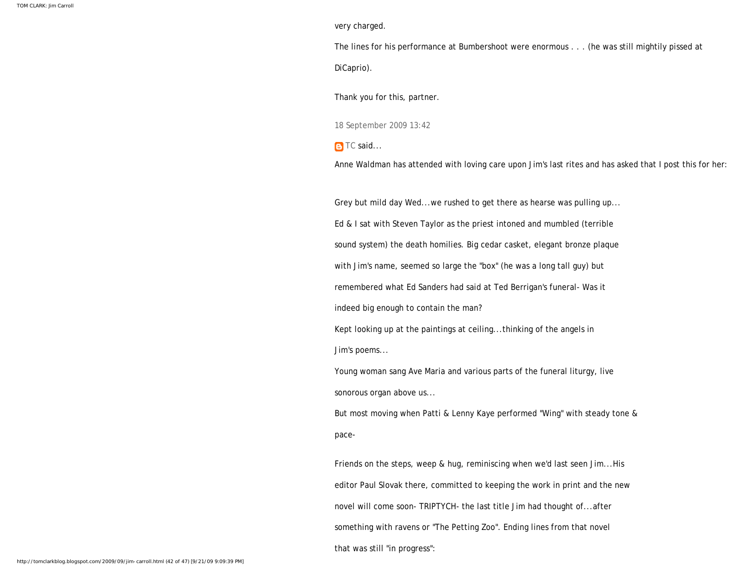very charged.

The lines for his performance at Bumbershoot were enormous . . . (he was still mightily pissed at DiCaprio).

Thank you for this, partner.

[18 September 2009 13:42](http://tomclarkblog.blogspot.com/2009/09/jim-carroll.html?showComment=1253306522713#c4597879416778243574)

**B** [TC](http://www.blogger.com/profile/05915822857461178942) said...

Anne Waldman has attended with loving care upon Jim's last rites and has asked that I post this for her:

Grey but mild day Wed...we rushed to get there as hearse was pulling up... Ed & I sat with Steven Taylor as the priest intoned and mumbled (terrible sound system) the death homilies. Big cedar casket, elegant bronze plaque with Jim's name, seemed so large the "box" (he was a long tall guy) but remembered what Ed Sanders had said at Ted Berrigan's funeral- Was it indeed big enough to contain the man? Kept looking up at the paintings at ceiling...thinking of the angels in

Jim's poems...

Young woman sang Ave Maria and various parts of the funeral liturgy, live sonorous organ above us...

But most moving when Patti & Lenny Kaye performed "Wing" with steady tone & pace-

Friends on the steps, weep & hug, reminiscing when we'd last seen Jim...His editor Paul Slovak there, committed to keeping the work in print and the new novel will come soon- TRIPTYCH- the last title Jim had thought of...after something with ravens or "The Petting Zoo". Ending lines from that novel that was still "in progress":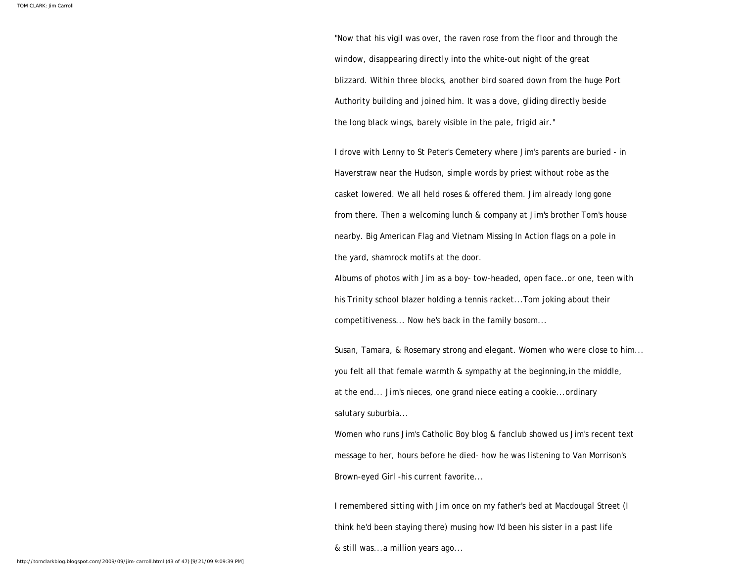"Now that his vigil was over, the raven rose from the floor and through the window, disappearing directly into the white-out night of the great blizzard. Within three blocks, another bird soared down from the huge Port Authority building and joined him. It was a dove, gliding directly beside the long black wings, barely visible in the pale, frigid air."

I drove with Lenny to St Peter's Cemetery where Jim's parents are buried - in Haverstraw near the Hudson, simple words by priest without robe as the casket lowered. We all held roses & offered them. Jim already long gone from there. Then a welcoming lunch & company at Jim's brother Tom's house nearby. Big American Flag and Vietnam Missing In Action flags on a pole in the yard, shamrock motifs at the door.

Albums of photos with Jim as a boy- tow-headed, open face..or one, teen with his Trinity school blazer holding a tennis racket...Tom joking about their competitiveness... Now he's back in the family bosom...

Susan, Tamara, & Rosemary strong and elegant. Women who were close to him... you felt all that female warmth & sympathy at the beginning, in the middle, at the end... Jim's nieces, one grand niece eating a cookie...ordinary salutary suburbia...

Women who runs Jim's Catholic Boy blog & fanclub showed us Jim's recent text message to her, hours before he died- how he was listening to Van Morrison's Brown-eyed Girl -his current favorite...

I remembered sitting with Jim once on my father's bed at Macdougal Street (I think he'd been staying there) musing how I'd been his sister in a past life & still was...a million years ago...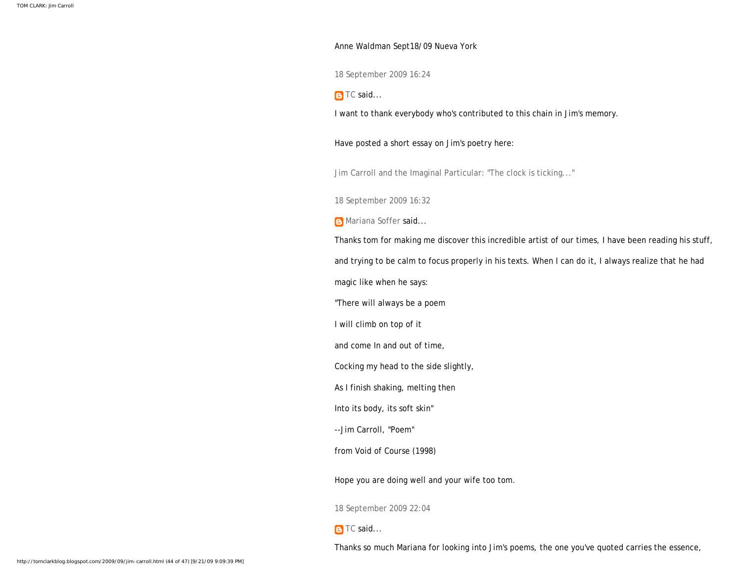#### Anne Waldman Sept18/09 Nueva York

[18 September 2009 16:24](http://tomclarkblog.blogspot.com/2009/09/jim-carroll.html?showComment=1253316285569#c4243488896252375048)

**B** [TC](http://www.blogger.com/profile/05915822857461178942) said...

I want to thank everybody who's contributed to this chain in Jim's memory.

Have posted a short essay on Jim's poetry here:

[Jim Carroll and the Imaginal Particular: "The clock is ticking..."](http://vanitasmagazine.blogspot.com/2009/09/tc-jim-carroll-and-imaginal-particular.html)

[18 September 2009 16:32](http://tomclarkblog.blogspot.com/2009/09/jim-carroll.html?showComment=1253316745849#c7292328558116673937)

**B** [Mariana Soffer](http://www.blogger.com/profile/13351209522681966230) said...

Thanks tom for making me discover this incredible artist of our times, I have been reading his stuff, and trying to be calm to focus properly in his texts. When I can do it, I always realize that he had magic like when he says:

"There will always be a poem

I will climb on top of it

and come In and out of time,

Cocking my head to the side slightly,

As I finish shaking, melting then

Into its body, its soft skin"

--Jim Carroll, "Poem"

from Void of Course (1998)

Hope you are doing well and your wife too tom.

[18 September 2009 22:04](http://tomclarkblog.blogspot.com/2009/09/jim-carroll.html?showComment=1253336642457#c4371966641644940827)

 $\Box$  [TC](http://www.blogger.com/profile/05915822857461178942) said...

Thanks so much Mariana for looking into Jim's poems, the one you've quoted carries the essence,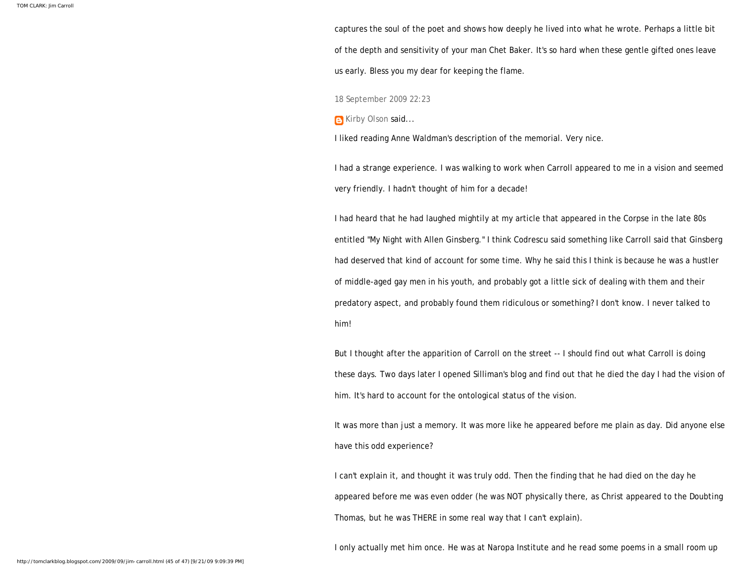captures the soul of the poet and shows how deeply he lived into what he wrote. Perhaps a little bit of the depth and sensitivity of your man Chet Baker. It's so hard when these gentle gifted ones leave us early. Bless you my dear for keeping the flame.

[18 September 2009 22:23](http://tomclarkblog.blogspot.com/2009/09/jim-carroll.html?showComment=1253337790700#c2333299714513647375)

**B** [Kirby Olson](http://www.blogger.com/profile/05952289700191142943) said...

I liked reading Anne Waldman's description of the memorial. Very nice.

I had a strange experience. I was walking to work when Carroll appeared to me in a vision and seemed very friendly. I hadn't thought of him for a decade!

I had heard that he had laughed mightily at my article that appeared in the Corpse in the late 80s entitled "My Night with Allen Ginsberg." I think Codrescu said something like Carroll said that Ginsberg had deserved that kind of account for some time. Why he said this I think is because he was a hustler of middle-aged gay men in his youth, and probably got a little sick of dealing with them and their predatory aspect, and probably found them ridiculous or something? I don't know. I never talked to him!

But I thought after the apparition of Carroll on the street -- I should find out what Carroll is doing these days. Two days later I opened Silliman's blog and find out that he died the day I had the vision of him. It's hard to account for the ontological status of the vision.

It was more than just a memory. It was more like he appeared before me plain as day. Did anyone else have this odd experience?

I can't explain it, and thought it was truly odd. Then the finding that he had died on the day he appeared before me was even odder (he was NOT physically there, as Christ appeared to the Doubting Thomas, but he was THERE in some real way that I can't explain).

I only actually met him once. He was at Naropa Institute and he read some poems in a small room up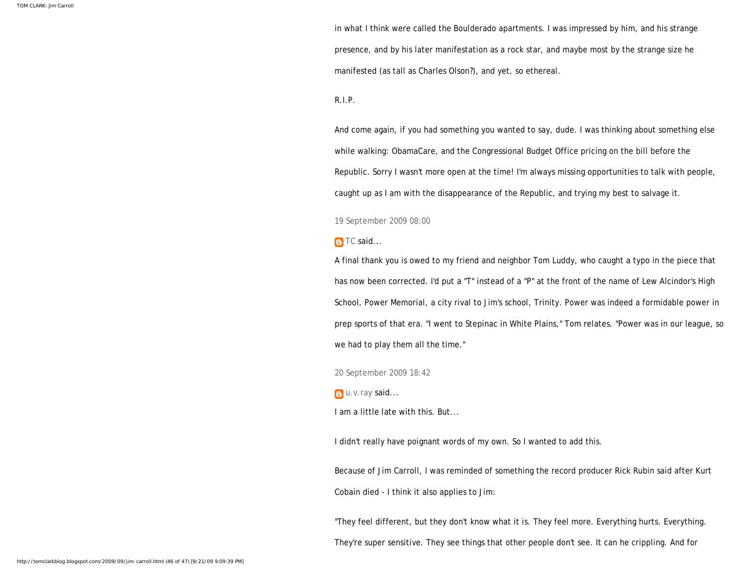in what I think were called the Boulderado apartments. I was impressed by him, and his strange presence, and by his later manifestation as a rock star, and maybe most by the strange size he manifested (as tall as Charles Olson?), and yet, so ethereal.

R.I.P.

And come again, if you had something you wanted to say, dude. I was thinking about something else while walking: ObamaCare, and the Congressional Budget Office pricing on the bill before the Republic. Sorry I wasn't more open at the time! I'm always missing opportunities to talk with people, caught up as I am with the disappearance of the Republic, and trying my best to salvage it.

#### [19 September 2009 08:00](http://tomclarkblog.blogspot.com/2009/09/jim-carroll.html?showComment=1253372445788#c6839185555788474028)

**B** [TC](http://www.blogger.com/profile/05915822857461178942) said...

A final thank you is owed to my friend and neighbor Tom Luddy, who caught a typo in the piece that has now been corrected. I'd put a "T" instead of a "P" at the front of the name of Lew Alcindor's High School, Power Memorial, a city rival to Jim's school, Trinity. Power was indeed a formidable power in prep sports of that era. "I went to Stepinac in White Plains," Tom relates. "Power was in our league, so we had to play them all the time."

[20 September 2009 18:42](http://tomclarkblog.blogspot.com/2009/09/jim-carroll.html?showComment=1253497370240#c3908198836830991349)

**B** [u.v.ray](http://www.blogger.com/profile/02866397025200956617) said...

I am a little late with this. But...

I didn't really have poignant words of my own. So I wanted to add this.

Because of Jim Carroll, I was reminded of something the record producer Rick Rubin said after Kurt Cobain died - I think it also applies to Jim:

"They feel different, but they don't know what it is. They feel more. Everything hurts. Everything.

They're super sensitive. They see things that other people don't see. It can he crippling. And for